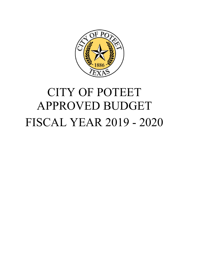

# FISCAL YEAR 2019 - 2020 CITY OF POTEET APPROVED BUDGET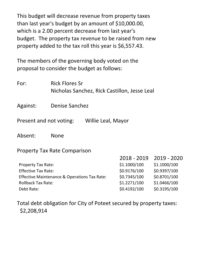This budget will decrease revenue from property taxes than last year's budget by an amount of \$10,000.00, which is a 2.00 percent decrease from last year's budget. The property tax revenue to be raised from new property added to the tax roll this year is \$6,557.43.

The members of the governing body voted on the proposal to consider the budget as follows:

For: Rick Flores Sr Nicholas Sanchez, Rick Castillon, Jesse Leal

Against: Denise Sanchez

Present and not voting: Willie Leal, Mayor

Absent: None

Property Tax Rate Comparison

|                                                         | $2018 - 2019$ | 2019 - 2020  |
|---------------------------------------------------------|---------------|--------------|
| <b>Property Tax Rate:</b>                               | \$1.1000/100  | \$1.1000/100 |
| <b>Effective Tax Rate:</b>                              | \$0.9176/100  | \$0.9397/100 |
| <b>Effective Maintenance &amp; Operations Tax Rate:</b> | \$0.7345/100  | \$0.8701/100 |
| <b>Rollback Tax Rate:</b>                               | \$1.2271/100  | \$1.0466/100 |
| Debt Rate:                                              | \$0.4192/100  | \$0.3195/100 |

Total debt obligation for City of Poteet secured by property taxes: \$2,208,914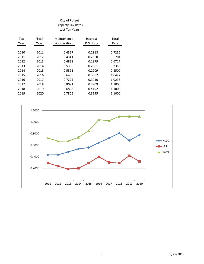|      |        | City of Poteet<br><b>Property Tax Rates</b><br>Last Ten Years |           |        |
|------|--------|---------------------------------------------------------------|-----------|--------|
| Tax  | Fiscal | Maintenance                                                   | Interest  | Total  |
| Year | Year   | & Operation                                                   | & Sinking | Rate   |
|      |        |                                                               |           |        |
| 2010 | 2011   | 0.4317                                                        | 0.2918    | 0.7235 |
| 2011 | 2012   | 0.4341                                                        | 0.2360    | 0.6701 |
| 2012 | 2013   | 0.4838                                                        | 0.1879    | 0.6717 |
| 2013 | 2014   | 0.5355                                                        | 0.2001    | 0.7356 |
| 2014 | 2015   | 0.5591                                                        | 0.2909    | 0.8500 |
| 2015 | 2016   | 0.6430                                                        | 0.3992    | 1.0422 |
| 2016 | 2017   | 0.7225                                                        | 0.3010    | 1.0235 |
| 2017 | 2018   | 0.8091                                                        | 0.2909    | 1.1000 |
| 2018 | 2019   | 0.6808                                                        | 0.4192    | 1.1000 |
| 2019 | 2020   | 0.7805                                                        | 0.3195    | 1.1000 |

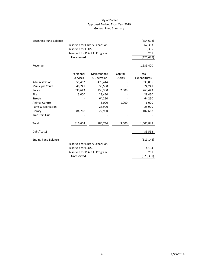#### City of Poteet Approved Budget Fiscal Year 2019 General Fund Summary

| <b>Beginning Fund Balance</b> |                                |             |         | (354, 698)   |  |  |  |
|-------------------------------|--------------------------------|-------------|---------|--------------|--|--|--|
|                               | Reserved for Library Expansion |             |         |              |  |  |  |
|                               | 3,355                          |             |         |              |  |  |  |
|                               | 251                            |             |         |              |  |  |  |
|                               | Unreserved                     |             |         |              |  |  |  |
| Revenue                       |                                |             |         | 1,639,400    |  |  |  |
|                               | Personnel                      | Maintenance | Capital | Total        |  |  |  |
|                               | <b>Services</b>                | & Operation | Outlay  | Expenditures |  |  |  |
| Administration                | 55,452                         | 478,444     |         | 533,896      |  |  |  |
| <b>Municipal Court</b>        | 40,741                         | 33,500      |         | 74,241       |  |  |  |
| Police                        | 630,643                        | 130,300     | 2,500   | 763,443      |  |  |  |
| Fire                          | 5,000                          | 23,450      |         | 28,450       |  |  |  |
| <b>Streets</b>                |                                | 64,250      |         | 64,250       |  |  |  |
| <b>Animal Control</b>         |                                | 5,000       | 1,000   | 6,000        |  |  |  |
| Parks & Recreation            |                                | 25,900      |         | 25,900       |  |  |  |
| Library                       | 84,768                         | 22,900      |         | 107,668      |  |  |  |
| <b>Transfers Out</b>          |                                |             |         |              |  |  |  |
| Total                         | 816,604                        | 783,744     | 3,500   | 1,603,848    |  |  |  |
| Gain/(Loss)                   |                                |             |         | 35,552       |  |  |  |
| <b>Ending Fund Balance</b>    |                                |             |         | (319, 146)   |  |  |  |
|                               | Reserved for Library Expansion |             |         |              |  |  |  |
|                               | Reserved for LEOSE             |             |         | 4,154        |  |  |  |
|                               | Reserved for D.A.R.E. Program  |             |         | 251          |  |  |  |
|                               | (323, 300)                     |             |         |              |  |  |  |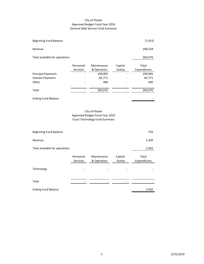#### City of Poteet Approved Budget Fiscal Year 2019 General Debt Service Fund Summary

| Beginning Fund Balance         |                       |                            |                   | (7, 452)              |
|--------------------------------|-----------------------|----------------------------|-------------------|-----------------------|
| Revenue                        |                       |                            |                   | 290,528               |
| Total available for operations |                       |                            |                   | 283,076               |
|                                | Personnel<br>Services | Maintenance<br>& Operation | Capital<br>Outlay | Total<br>Expenditures |
| <b>Principal Payments</b>      |                       | 199,905                    |                   | 199,905               |
| Interest Payments              |                       | 82,771                     |                   | 82,771                |
| Other                          |                       | 400                        |                   | 400                   |
| Total                          |                       | 283,076                    |                   | 283,076               |

Ending Fund Balance

#### City of Poteet Approved Budget Fiscal Year 2019 Court Technology Fund Summary

| Beginning Fund Balance         |                              |                            |                   | 750                   |
|--------------------------------|------------------------------|----------------------------|-------------------|-----------------------|
| Revenue                        |                              |                            |                   | 2,200                 |
| Total available for operations |                              |                            |                   | 2,950                 |
|                                | Personnel<br><b>Services</b> | Maintenance<br>& Operation | Capital<br>Outlay | Total<br>Expenditures |
| Technology                     |                              |                            |                   |                       |
| Total                          |                              |                            |                   |                       |
| <b>Ending Fund Balance</b>     |                              |                            |                   | 2,950                 |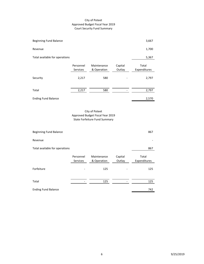#### City of Poteet Approved Budget Fiscal Year 2019 Court Security Fund Summary

| <b>Beginning Fund Balance</b>  |                              |                            |                   | 3,667                 |  |
|--------------------------------|------------------------------|----------------------------|-------------------|-----------------------|--|
| Revenue                        |                              |                            |                   | 1,700                 |  |
| Total available for operations |                              |                            |                   | 5,367                 |  |
|                                | Personnel<br><b>Services</b> | Maintenance<br>& Operation | Capital<br>Outlay | Total<br>Expenditures |  |
| Security                       | 2,217                        | 580                        |                   | 2,797                 |  |
| Total                          | 2,217                        | 580                        |                   | 2,797                 |  |
| <b>Ending Fund Balance</b>     |                              |                            |                   | 2,570                 |  |
| City of Poteet                 |                              |                            |                   |                       |  |

Approved Budget Fiscal Year 2019 State Forfeiture Fund Summary

| Beginning Fund Balance         |                              |                            |                   | 867                   |
|--------------------------------|------------------------------|----------------------------|-------------------|-----------------------|
| Revenue                        |                              |                            |                   |                       |
| Total available for operations |                              |                            |                   | 867                   |
|                                | Personnel<br><b>Services</b> | Maintenance<br>& Operation | Capital<br>Outlay | Total<br>Expenditures |
| Forfeiture                     |                              | 125                        |                   | 125                   |
| Total                          |                              | 125                        |                   | 125                   |
| <b>Ending Fund Balance</b>     |                              |                            |                   | 742                   |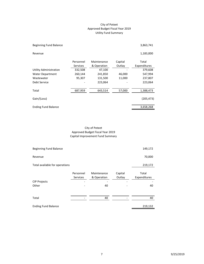#### City of Poteet Approved Budget Fiscal Year 2019 Utility Fund Summary

| Beginning Fund Balance        |                              |                            |                   | 3,863,741             |
|-------------------------------|------------------------------|----------------------------|-------------------|-----------------------|
| Revenue                       |                              |                            |                   | 1,183,000             |
|                               | Personnel<br><b>Services</b> | Maintenance<br>& Operation | Capital<br>Outlay | Total<br>Expenditures |
| <b>Utility Administration</b> | 332,508                      | 47,100                     |                   | 379,608               |
| <b>Water Department</b>       | 260,144                      | 241,850                    | 46,000            | 547,994               |
| Wastewater                    | 95,307                       | 131,500                    | 11,000            | 237,807               |
| Debt Service                  |                              | 223,064                    |                   | 223,064               |
| Total                         | 687,959                      | 643,514                    | 57,000            | 1,388,473             |
| Gain/(Loss)                   |                              |                            |                   | (205, 473)            |
| <b>Ending Fund Balance</b>    |                              |                            |                   | 3,658,268             |

#### City of Poteet Approved Budget Fiscal Year 2019 Capital Improvement Fund Summary

| Beginning Fund Balance         |                       |                            |                   | 149,172               |
|--------------------------------|-----------------------|----------------------------|-------------------|-----------------------|
| Revenue                        |                       |                            |                   | 70,000                |
| Total available for operations |                       |                            |                   | 219,172               |
|                                | Personnel<br>Services | Maintenance<br>& Operation | Capital<br>Outlay | Total<br>Expenditures |
| <b>CIP Projects</b>            |                       |                            |                   |                       |
| Other                          |                       | 40                         |                   | 40                    |
| Total                          |                       | 40                         |                   | 40                    |
| <b>Ending Fund Balance</b>     |                       |                            |                   | 219,132               |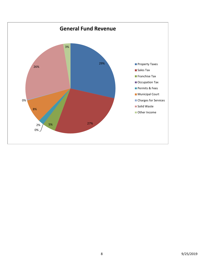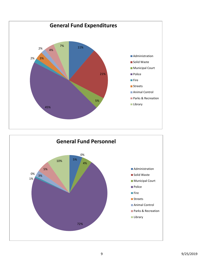

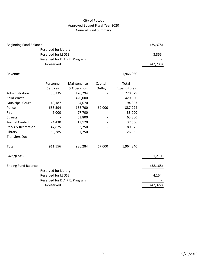# City of Poteet Approved Budget Fiscal Year 2020 General Fund Summary

| <b>Beginning Fund Balance</b> |                               |             |         |              | (39, 378) |
|-------------------------------|-------------------------------|-------------|---------|--------------|-----------|
|                               |                               |             |         |              |           |
|                               | <b>Reserved for LEOSE</b>     |             |         |              | 3,355     |
|                               | Reserved for D.A.R.E. Program |             |         |              |           |
|                               | Unreserved                    |             |         |              | (42, 733) |
| Revenue                       |                               |             |         | 1,966,050    |           |
|                               | Personnel                     | Maintenance | Capital | Total        |           |
|                               | Services                      | & Operation | Outlay  | Expenditures |           |
| Administration                | 50,235                        | 170,294     |         | 220,529      |           |
| Solid Waste                   |                               | 420,000     |         | 420,000      |           |
| <b>Municipal Court</b>        | 40,187                        | 54,670      |         | 94,857       |           |
| Police                        | 653,594                       | 166,700     | 67,000  | 887,294      |           |
| Fire                          | 6,000                         | 27,700      |         | 33,700       |           |
| <b>Streets</b>                |                               | 63,800      |         | 63,800       |           |
| <b>Animal Control</b>         | 24,430                        | 13,120      |         | 37,550       |           |
| Parks & Recreation            | 47,825                        | 32,750      |         | 80,575       |           |
| Library                       | 89,285                        | 37,250      |         | 126,535      |           |
| <b>Transfers Out</b>          |                               |             |         |              |           |
| Total                         | 911,556                       | 986,284     | 67,000  | 1,964,840    |           |
| Gain/(Loss)                   |                               |             |         |              | 1,210     |
| <b>Ending Fund Balance</b>    |                               |             |         |              | (38, 168) |
|                               | <b>Reserved for Library</b>   |             |         |              |           |
|                               | <b>Reserved for LEOSE</b>     |             |         |              | 4,154     |
|                               | Reserved for D.A.R.E. Program |             |         |              | (42, 322) |
| Unreserved                    |                               |             |         |              |           |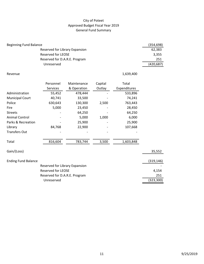# City of Poteet Approved Budget Fiscal Year 2019 General Fund Summary

| <b>Beginning Fund Balance</b>  |                               |             |         |              | (354, 698) |  |  |  |
|--------------------------------|-------------------------------|-------------|---------|--------------|------------|--|--|--|
|                                | 62,383                        |             |         |              |            |  |  |  |
|                                | <b>Reserved for LEOSE</b>     |             |         |              | 3,355      |  |  |  |
|                                | Reserved for D.A.R.E. Program |             |         |              |            |  |  |  |
|                                | Unreserved                    |             |         |              | (420, 687) |  |  |  |
|                                |                               |             |         |              |            |  |  |  |
| Revenue                        |                               |             |         | 1,639,400    |            |  |  |  |
|                                | Personnel                     | Maintenance | Capital | Total        |            |  |  |  |
|                                | <b>Services</b>               | & Operation | Outlay  | Expenditures |            |  |  |  |
| Administration                 | 55,452                        | 478,444     |         | 533,896      |            |  |  |  |
| <b>Municipal Court</b>         | 40,741                        | 33,500      |         | 74,241       |            |  |  |  |
| Police                         |                               |             |         |              |            |  |  |  |
|                                | 630,643                       | 130,300     | 2,500   | 763,443      |            |  |  |  |
| Fire                           | 5,000                         | 23,450      |         | 28,450       |            |  |  |  |
| <b>Streets</b>                 |                               | 64,250      |         | 64,250       |            |  |  |  |
| <b>Animal Control</b>          |                               | 5,000       | 1,000   | 6,000        |            |  |  |  |
| Parks & Recreation             |                               | 25,900      |         | 25,900       |            |  |  |  |
| Library                        | 84,768                        | 22,900      |         | 107,668      |            |  |  |  |
| <b>Transfers Out</b>           |                               |             |         |              |            |  |  |  |
| Total                          | 816,604                       | 783,744     | 3,500   | 1,603,848    |            |  |  |  |
| Gain/(Loss)                    |                               |             |         |              | 35,552     |  |  |  |
| <b>Ending Fund Balance</b>     |                               |             |         |              | (319, 146) |  |  |  |
| Reserved for Library Expansion |                               |             |         |              |            |  |  |  |
|                                | <b>Reserved for LEOSE</b>     |             |         |              | 4,154      |  |  |  |
|                                | Reserved for D.A.R.E. Program |             |         |              | 251        |  |  |  |
|                                | Unreserved                    |             |         |              |            |  |  |  |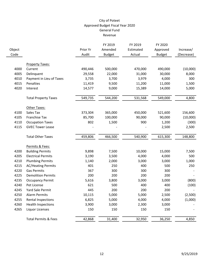|                |                                 |                   | FY 2019                  | FY 2019             | FY 2020                   |                         |
|----------------|---------------------------------|-------------------|--------------------------|---------------------|---------------------------|-------------------------|
| Object<br>Code |                                 | Prior Yr<br>Audit | Amended<br><b>Budget</b> | Estimated<br>Actual | Approved<br><b>Budget</b> | Increase/<br>(Decrease) |
|                |                                 |                   |                          |                     |                           |                         |
|                | <b>Property Taxes:</b>          |                   |                          |                     |                           |                         |
| 4000           | Current                         | 490,446           | 500,000                  | 470,000             | 490,000                   | (10,000)                |
| 4005           | Delinquent                      | 29,558            | 22,000                   | 31,000              | 30,000                    | 8,000                   |
| 4010           | Payment in Lieu of Taxes        | 3,735             | 3,700                    | 3,979               | 4,000                     | 300                     |
| 4015           | Penalties                       | 11,419            | 9,500                    | 11,200              | 11,000                    | 1,500                   |
| 4020           | Interest                        | 14,577            | 9,000                    | 15,389              | 14,000                    | 5,000                   |
|                | <b>Total Property Taxes</b>     | 549,735           | 544,200                  | 531,568             | 549,000                   | 4,800                   |
|                | Other Taxes:                    |                   |                          |                     |                           |                         |
| 4100           | Sales Tax                       | 373,304           | 365,000                  | 450,000             | 521,600                   | 156,600                 |
| 4105           | Franchise Tax                   | 85,700            | 100,000                  | 90,000              | 90,000                    | (10,000)                |
| 4110           | <b>Occupation Taxes</b>         | 802               | 1,500                    | 900                 | 1,200                     | (300)                   |
| 4115           | <b>GVEC Tower Lease</b>         |                   |                          |                     | 2,500                     | 2,500                   |
|                | <b>Total Other Taxes</b>        | 459,806           | 466,500                  | 540,900             | 615,300                   | 148,800                 |
|                | Permits & Fees:                 |                   |                          |                     |                           |                         |
| 4200           | <b>Building Permits</b>         | 9,898             | 7,500                    | 10,000              | 15,000                    | 7,500                   |
| 4205           | <b>Electrical Permits</b>       | 3,190             | 3,500                    | 4,000               | 4,000                     | 500                     |
| 4210           | <b>Plumbing Permits</b>         | 1,140             | 2,000                    | 3,000               | 3,000                     | 1,000                   |
| 4215           | <b>AC/Heating Permits</b>       | 401               | 250                      | 400                 | 500                       | 250                     |
| 4220           | <b>Gas Permits</b>              | 367               | 300                      | 300                 | 300                       |                         |
| 4225           | <b>Demolition Permits</b>       | 200               | 200                      | 200                 | 200                       |                         |
| 4235           | <b>Occupancy Permit</b>         | 5,616             | 3,800                    | 3,000               | 3,000                     | (800)                   |
| 4240           | Pet License                     | 621               | 500                      | 400                 | 400                       | (100)                   |
| 4245           | Yard Sale Permit                | 445               | 200                      | 200                 | 200                       |                         |
| 4250           | <b>Alarm Permits</b>            | 10,115            | 5,000                    | 5,000               | 2,500                     | (2,500)                 |
| 4255           | Rental Inspections              | 6,825             | 5,000                    | 4,000               | 4,000                     | (1,000)                 |
| 4260           | <b>Health Inspections</b>       | 3,900             | 3,000                    | 2,300               | 3,000                     |                         |
| 4265           | <b>Liquor Licenses</b>          | 150               | 150                      | 150                 | 150                       |                         |
|                | <b>Total Permits &amp; Fees</b> | 42,868            | 31,400                   | 32,950              | 36,250                    | 4,850                   |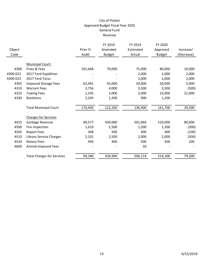| Object<br>Code |                                   | Prior Yr<br>Audit | FY 2019<br>Amended<br><b>Budget</b> | FY 2019<br>Estimated<br>Actual | FY 2020<br>Approved<br><b>Budget</b> | Increase/<br>(Decrease) |
|----------------|-----------------------------------|-------------------|-------------------------------------|--------------------------------|--------------------------------------|-------------------------|
|                | <b>Municipal Court:</b>           |                   |                                     |                                |                                      |                         |
| 4300           | Fines & Fees                      | 101,668           | 70,000                              | 75,000                         | 80,000                               | 10,000                  |
| 4300-022       | 2017 Ford Expidition              |                   |                                     | 2,000                          | 2,000                                | 2,000                   |
| 4300-023       | 2017 Ford Tarus                   |                   |                                     | 2,000                          | 2,000                                | 2,000                   |
| 4305           | <b>Impound Storage Fees</b>       | 62,491            | 45,000                              | 50,000                         | 50,000                               | 5,000                   |
| 4310           | <b>Warrant Fees</b>               | 3,756             | 4,000                               | 3,500                          | 3,500                                | (500)                   |
| 4325           | <b>Towing Fees</b>                | 1,245             | 2,000                               | 3,000                          | 23,000                               | 21,000                  |
| 4330           | Restitions                        | 1,245             | 1,200                               | 900                            | 1,200                                |                         |
|                | <b>Total Municipal Court</b>      | 170,405           | 122,200                             | 136,400                        | 161,700                              | 39,500                  |
|                | <b>Charges for Services</b>       |                   |                                     |                                |                                      |                         |
| 4425           | Garbage Revenue                   | 89,577            | 430,000                             | 501,964                        | 510,000                              | 80,000                  |
| 4500           | Fire Inspection                   | 1,610             | 1,500                               | 1,200                          | 1,200                                | (300)                   |
| 4505           | <b>Report Fees</b>                | 448               | 500                                 | 400                            | 400                                  | (100)                   |
| 4510           | <b>Library Service Charges</b>    | 2,101             | 2,500                               | 2,000                          | 2,000                                | (500)                   |
| 4520           | <b>Notary Fees</b>                | 444               | 400                                 | 500                            | 500                                  | 100                     |
| 4600           | Animal Impound Fees               |                   |                                     | 50                             |                                      |                         |
|                | <b>Total Charges for Services</b> | 94,180            | 434,900                             | 506,114                        | 514,100                              | 79,200                  |
|                |                                   |                   |                                     |                                |                                      |                         |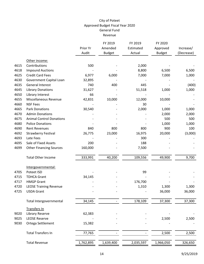|      |                                                |           | FY 2019       | FY 2019   | FY 2020       |            |
|------|------------------------------------------------|-----------|---------------|-----------|---------------|------------|
|      |                                                | Prior Yr  | Amended       | Estimated | Approved      | Increase/  |
|      |                                                | Audit     | <b>Budget</b> | Actual    | <b>Budget</b> | (Decrease) |
|      | Other income:                                  |           |               |           |               |            |
| 4615 | Contributions                                  | 500       |               | 2,000     |               |            |
| 4618 | <b>Impound Auctions</b>                        |           |               | 8,800     | 6,500         | 6,500      |
| 4625 | <b>Credit Card Fees</b>                        | 6,977     | 6,000         | 7,000     | 7,000         | 1,000      |
| 4630 | Government Capital Loan                        | 32,895    |               |           |               |            |
| 4635 | <b>General Interest</b>                        | 740       | 400           | 445       |               | (400)      |
| 4645 | <b>Library Donations</b>                       | 31,627    |               | 51,518    | 1,000         | 1,000      |
| 4650 | Library Interest                               | 66        |               |           |               |            |
| 4655 | Miscellaneous Revenue                          | 42,831    | 10,000        | 12,000    | 10,000        |            |
| 4660 | <b>NSF Fees</b>                                |           |               | 30        |               |            |
| 4665 | <b>Park Donations</b>                          | 30,540    |               | 2,000     | 1,000         | 1,000      |
| 4670 | <b>Admin Donations</b>                         |           |               |           | 2,000         | 2,000      |
| 4675 | <b>Animal Control Donations</b>                |           |               |           | 500           | 500        |
| 4680 | <b>Police Donations</b>                        |           |               |           | 1,000         | 1,000      |
| 4690 | <b>Rent Revenues</b>                           | 840       | 800           | 800       | 900           | 100        |
| 4692 | <b>Strawberry Festival</b>                     | 26,775    | 23,000        | 16,975    | 20,000        | (3,000)    |
| 4693 | Late Fees                                      |           |               | 300       |               |            |
| 4695 | Sale of Fixed Assets                           | 200       |               | 188       |               |            |
| 4699 | <b>Other Financing Sources</b>                 | 160,000   |               | 7,500     |               |            |
|      | <b>Total Other Income</b>                      | 333,991   | 40,200        | 109,556   | 49,900        | 9,700      |
|      | Intergovernmental:                             |           |               |           |               |            |
| 4705 | Poteet ISD                                     |           |               | 99        |               |            |
| 4715 | <b>TDHCA Grant</b>                             | 34,145    |               |           |               |            |
| 4717 | <b>HMGP Grant</b>                              |           |               | 176,700   |               |            |
| 4720 | <b>LEOSE Training Revenue</b>                  |           |               | 1,310     | 1,300         | 1,300      |
| 4725 | <b>USDA Grant</b>                              |           |               |           | 36,000        | 36,000     |
|      | Total Intergovernmental                        | 34,145    |               | 178,109   | 37,300        | 37,300     |
|      |                                                |           |               |           |               |            |
|      | Transfers In                                   |           |               |           |               |            |
| 9020 | <b>Library Reserve</b><br><b>LEOSE Reserve</b> | 62,383    |               |           |               |            |
| 9025 |                                                |           |               |           | 2,500         | 2,500      |
| 9030 | Ortega Settlement                              | 15,382    |               |           |               |            |
|      | <b>Total Transfers In</b>                      | 77,765    |               |           | 2,500         | 2,500      |
|      | <b>Total Revenue</b>                           | 1,762,895 | 1,639,400     | 2,035,597 | 1,966,050     | 326,650    |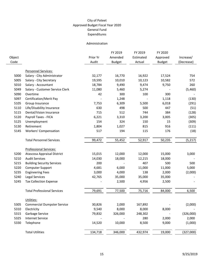#### Administration

| Object |                                    | Prior Yr | FY 2019<br>Amended | FY 2019<br>Estimated | FY 2020<br>Approved | Increase/  |
|--------|------------------------------------|----------|--------------------|----------------------|---------------------|------------|
| Code   |                                    | Audit    | <b>Budget</b>      | Actual               | <b>Budget</b>       | (Decrease) |
|        |                                    |          |                    |                      |                     |            |
|        | <b>Personnel Services:</b>         |          |                    |                      |                     |            |
| 5000   | Salary - City Administrator        | 32,177   | 16,770             | 16,922               | 17,524              | 754        |
| 5005   | Salary - City Secretary            | 19,595   | 10,010             | 10,123               | 10,582              | 572        |
| 5010   | Salary - Accountant                | 18,784   | 9,490              | 9,474                | 9,750               | 260        |
| 5049   | Salary - Customer Service Clerk    | 11,080   | 5,460              | 5,274                |                     | (5,460)    |
| 5090   | Overtime                           | 42       | 300                | 100                  | 300                 |            |
| 5097   | Certification/Merit Pay            |          | 1,248              |                      | 1,118               | (130)      |
| 5105   | Group Insurance                    | 7,753    | 6,309              | 5,500                | 6,018               | (291)      |
| 5110   | Life/Disability Insurance          | 630      | 498                | 500                  | 447                 | (51)       |
| 5115   | Dental/Vision Insurance            | 715      | 512                | 744                  | 384                 | (128)      |
| 5120   | Payroll Taxes - FICA               | 6,221    | 3,310              | 3,200                | 3,005               | (305)      |
| 5125   | Unemployment                       | 154      | 324                | 150                  | 15                  | (309)      |
| 5130   | Retirement                         | 1,804    | 1,027              | 815                  | 916                 | (111)      |
| 5145   | <b>Workers' Compensation</b>       | 517      | 194                | 115                  | 176                 | (18)       |
|        | <b>Total Personnel Services</b>    | 99,472   | 55,452             | 52,917               | 50,235              | (5, 217)   |
|        | <b>Professional Services:</b>      |          |                    |                      |                     |            |
| 5200   | Atascosa Appraisal District        | 15,015   | 12,000             | 12,000               | 15,000              | 3,000      |
| 5210   | <b>Audit Services</b>              | 14,030   | 18,000             | 12,215               | 18,000              |            |
| 5215   | <b>Building Security Services</b>  | 200      |                    | 407                  | 500                 | 500        |
| 5220   | <b>Computer Support</b>            | 4,681    | 6,000              | 11,000               | 11,000              | 5,000      |
| 5235   | <b>Engineering Fees</b>            | 3,000    | 4,000              | 138                  | 2,000               | (2,000)    |
| 5240   | Legal Services                     | 42,765   | 35,000             | 35,000               | 35,000              |            |
| 5245   | <b>Tax Collection Expense</b>      |          | 2,500              | 4,956                | 2,500               |            |
|        | <b>Total Professional Services</b> | 79,691   | 77,500             | 75,716               | 84,000              | 6,500      |
|        | Utilities:                         |          |                    |                      |                     |            |
| 5305   | <b>Commercial Dumpster Service</b> | 30,826   | 2,000              | 167,892              |                     | (2,000)    |
| 5310   | Electricity                        | 9,540    | 8,000              | 8,000                | 8,000               |            |
| 5315   | Garbage Service                    | 79,832   | 326,000            | 248,302              |                     | (326,000)  |
| 5325   | <b>Internet Service</b>            |          |                    | 280                  | 2,000               | 2,000      |
| 5330   | Telephone                          | 14,520   | 10,000             | 8,500                | 9,000               | (1,000)    |
|        | <b>Total Utilities</b>             | 134,718  | 346,000            | 432,974              | 19,000              | (327,000)  |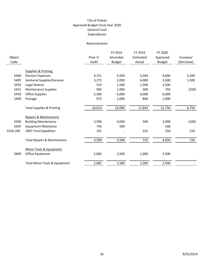#### Administration

|          |                                        |          | FY 2019       | FY 2019   | FY 2020       |            |
|----------|----------------------------------------|----------|---------------|-----------|---------------|------------|
| Object   |                                        | Prior Yr | Amended       | Estimated | Approved      | Increase/  |
| Code     |                                        | Audit    | <b>Budget</b> | Actual    | <b>Budget</b> | (Decrease) |
|          |                                        |          |               |           |               |            |
|          | Supplies & Printing:                   |          |               |           |               |            |
| 5400     | <b>Election Expenses</b>               | 4,751    | 3,500         | 5,044     | 9,000         | 5,500      |
| 5405     | Janitorial Supplies/Services           | 3,272    | 2,000         | 4,000     | 3,500         | 1,500      |
| 5410     | Legal Notices                          | 533      | 1,500         | 1,500     | 1,500         |            |
| 5415     | Maintenance Supplies                   | 905      | 1,000         | 500       | 750           | (250)      |
| 5420     | <b>Office Supplies</b>                 | 5,580    | 6,000         | 6,000     | 6,000         |            |
| 5440     | Postage                                | 973      | 1,000         | 800       | 1,000         |            |
|          | <b>Total Supplies &amp; Printing</b>   | 16,014   | 15,000        | 17,844    | 21,750        | 6,750      |
|          | Repairs & Maintenance:                 |          |               |           |               |            |
| 5500     | <b>Building Maintenance</b>            | 3,596    | 4,000         | 500       | 3,900         | (100)      |
| 5505     | <b>Equipment Maintance</b>             | 743      | 500           |           | 500           |            |
| 5520-200 | 2007 Ford Expedition                   | 161      |               | 225       | 250           | 250        |
|          | <b>Total Repairs &amp; Maintenance</b> | 4,500    | 4,500         | 725       | 4,650         | 150        |
|          | Minor Tools & Equipment                |          |               |           |               |            |
| 5600     | Office Equipment                       | 2,082    | 2,500         | 1,000     | 2,500         |            |
|          | Total Minor Tools & Equipment          | 2,082    | 2,500         | 1,000     | 2,500         |            |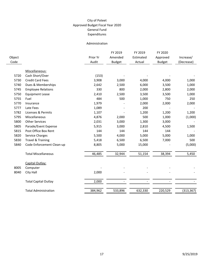#### Administration

|        |                             |          | FY 2019       | FY 2019   | FY 2020       |            |
|--------|-----------------------------|----------|---------------|-----------|---------------|------------|
| Object |                             | Prior Yr | Amended       | Estimated | Approved      | Increase/  |
| Code   |                             | Audit    | <b>Budget</b> | Actual    | <b>Budget</b> | (Decrease) |
|        |                             |          |               |           |               |            |
|        | Miscellaneous:              |          |               |           |               |            |
| 5720   | Cash Short/Over             | (153)    |               |           |               |            |
| 5730   | <b>Credit Card Fees</b>     | 3,908    | 3,000         | 4,000     | 4,000         | 1,000      |
| 5740   | Dues & Memberships          | 2,642    | 2,500         | 6,000     | 3,500         | 1,000      |
| 5745   | <b>Employee Relations</b>   | 330      | 800           | 2,000     | 2,800         | 2,000      |
| 5750   | <b>Equipment Lease</b>      | 2,410    | 2,500         | 3,500     | 3,500         | 1,000      |
| 5755   | Fuel                        | 484      | 500           | 1,000     | 750           | 250        |
| 5770   | Insurance                   | 1,979    |               | 2,000     | 2,000         | 2,000      |
| 5777   | Late Fees                   | 1,089    |               | 200       |               |            |
| 5782   | Licenses & Permits          | 1,107    |               | 1,200     | 1,200         | 1,200      |
| 5795   | Miscellaneous               | 4,876    | 2,000         | 500       | 1,000         | (1,000)    |
| 5800   | <b>Other Services</b>       | 2,031    | 3,000         | 1,300     | 3,000         |            |
| 5805   | Parade/Event Expense        | 5,915    | 3,000         | 2,810     | 4,500         | 1,500      |
| 5815   | Post Office Box Rent        | 144      | 144           | 144       | 144           |            |
| 5820   | <b>Service Charges</b>      | 5,500    | 4,000         | 5,000     | 5,000         | 1,000      |
| 5830   | Travel & Training           | 5,418    | 6,500         | 6,500     | 7,000         | 500        |
| 5840   | Code Enforcement Clean-up   | 8,805    | 5,000         | 15,000    |               | (5,000)    |
|        | <b>Total Miscellaneous</b>  | 46,485   | 32,944        | 51,154    | 38,394        | 5,450      |
|        | Capital Outlay:             |          |               |           |               |            |
| 8005   | Computer                    |          |               |           |               |            |
| 8040   | City Hall                   | 2,000    |               |           |               |            |
|        | <b>Total Capital Outlay</b> | 2,000    |               |           |               |            |
|        | <b>Total Administration</b> | 384,962  | 533,896       | 632,330   | 220,529       | (313, 367) |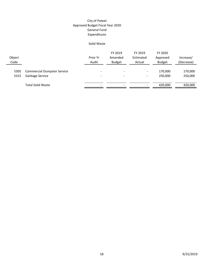#### Solid Waste

| Object<br>Code |                                                       | Prior Yr<br>Audit             | FY 2019<br>Amended<br><b>Budget</b>                  | FY 2019<br>Estimated<br>Actual     | FY 2020<br>Approved<br><b>Budget</b> | Increase/<br>(Decrease) |
|----------------|-------------------------------------------------------|-------------------------------|------------------------------------------------------|------------------------------------|--------------------------------------|-------------------------|
| 5305<br>5315   | <b>Commercial Dumpster Service</b><br>Garbage Service | -<br>$\overline{\phantom{a}}$ | $\overline{\phantom{a}}$<br>$\overline{\phantom{a}}$ | $\overline{\phantom{a}}$<br>$\sim$ | 170,000<br>250,000                   | 170,000<br>250,000      |
|                | <b>Total Solid Waste</b>                              | $\overline{\phantom{0}}$      | $\overline{\phantom{0}}$                             | $\overline{\phantom{0}}$           | 420.000                              | 420.000                 |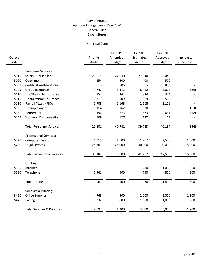# Municipal Court

| Object<br>Code |                                      | Prior Yr<br>Audit | FY 2019<br>Amended<br><b>Budget</b> | FY 2019<br>Estimated<br>Actual | FY 2020<br>Approved<br><b>Budget</b> | Increase/<br>(Decrease) |
|----------------|--------------------------------------|-------------------|-------------------------------------|--------------------------------|--------------------------------------|-------------------------|
|                |                                      |                   |                                     |                                |                                      |                         |
|                | Personnel Services:                  |                   |                                     |                                |                                      |                         |
| 5015           | Salary - Court Clerk                 | 21,815            | 27,040                              | 27,040                         | 27,040                               |                         |
| 5090           | Overtime                             | 354               | 500                                 | 400                            | 500                                  |                         |
| 5097           | Certification/Merit Pay              |                   | 806                                 |                                | 806                                  |                         |
| 5105           | Group Insurance                      | 4,742             | 8,412                               | 8,412                          | 8,023                                | (389)                   |
| 5110           | Life/Disability Insurance            | 152               | 344                                 | 344                            | 344                                  |                         |
| 5115           | Dental/Vision Insurance              | 311               | 509                                 | 509                            | 509                                  |                         |
| 5120           | Payroll Taxes - FICA                 | 1,708             | 2,168                               | 2,168                          | 2,168                                |                         |
| 5125           | Unemployment                         | 114               | 162                                 | 70                             | 9                                    | (153)                   |
| 5130           | Retirement                           | 496               | 673                                 | 673                            | 661                                  | (12)                    |
| 5145           | <b>Workers' Compensation</b>         | 109               | 127                                 | 127                            | 127                                  |                         |
|                | <b>Total Personnel Services</b>      | 29,801            | 40,741                              | 39,743                         | 40,187                               | (554)                   |
|                | <b>Professional Services:</b>        |                   |                                     |                                |                                      |                         |
| 5220           | Computer Support                     | 1,919             | 1,500                               | 1,757                          | 2,500                                | 1,000                   |
| 5240           | Legal Services                       | 28,263            | 25,000                              | 40,000                         | 40,000                               | 15,000                  |
|                | <b>Total Professional Services</b>   | 30,182            | 26,500                              | 41,757                         | 42,500                               | 16,000                  |
|                | Utilities:                           |                   |                                     |                                |                                      |                         |
| 5325           | Internet                             |                   |                                     | 280                            | 1,000                                | 1,000                   |
| 5330           | Telephone                            | 1,961             | 500                                 | 750                            | 800                                  | 300                     |
|                | <b>Total Utilities</b>               | 1,961             | 500                                 | 1,030                          | 1,800                                | 1,300                   |
|                | Supplies & Printing:                 |                   |                                     |                                |                                      |                         |
| 5420           | <b>Office Supplies</b>               | 765               | 500                                 | 2,000                          | 2,000                                | 1,500                   |
| 5440           | Postage                              | 1,332             | 800                                 | 1,000                          | 1,000                                | 200                     |
|                | <b>Total Supplies &amp; Printing</b> | 2,097             | 1,300                               | 3,000                          | 3,000                                | 1,700                   |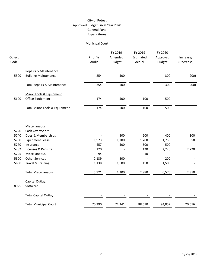# Municipal Court

| Object<br>Code |                                          | Prior Yr<br>Audit | FY 2019<br>Amended<br><b>Budget</b> | FY 2019<br>Estimated<br>Actual | FY 2020<br>Approved<br><b>Budget</b> | Increase/<br>(Decrease) |
|----------------|------------------------------------------|-------------------|-------------------------------------|--------------------------------|--------------------------------------|-------------------------|
|                | Repairs & Maintenance:                   |                   |                                     |                                |                                      |                         |
| 5500           | <b>Building Maintenance</b>              | 254               | 500                                 |                                | 300                                  | (200)                   |
|                | <b>Total Repairs &amp; Maintenance</b>   | 254               | 500                                 | $\equiv$                       | 300                                  | (200)                   |
|                | Minor Tools & Equipment                  |                   |                                     |                                |                                      |                         |
| 5600           | Office Equipment                         | 174               | 500                                 | 100                            | 500                                  |                         |
|                | <b>Total Minor Tools &amp; Equipment</b> | 174               | 500                                 | 100                            | 500                                  |                         |
|                |                                          |                   |                                     |                                |                                      |                         |
|                | Miscellaneous:                           |                   |                                     |                                |                                      |                         |
| 5720           | Cash Over/Short                          |                   |                                     |                                |                                      |                         |
| 5740           | Dues & Memberships                       |                   | 300                                 | 200                            | 400                                  | 100                     |
| 5750           | <b>Equipment Lease</b>                   | 1,973             | 1,700                               | 1,700                          | 1,750                                | 50                      |
| 5770           | Insurance                                | 457               | 500                                 | 500                            | 500                                  |                         |
| 5782           | Licenses & Permits                       | 120               |                                     | 120                            | 2,220                                | 2,220                   |
| 5795           | Miscellaneous                            | 94                |                                     | $10\,$                         |                                      |                         |
| 5800           | <b>Other Services</b>                    | 2,139             | 200                                 |                                | 200                                  |                         |
| 5830           | <b>Travel &amp; Training</b>             | 1,138             | 1,500                               | 450                            | 1,500                                |                         |
|                | <b>Total Miscellaneous</b>               | 5,921             | 4,200                               | 2,980                          | 6,570                                | 2,370                   |
|                | Capital Outlay:                          |                   |                                     |                                |                                      |                         |
| 8025           | Software                                 |                   |                                     |                                |                                      |                         |
|                | <b>Total Capital Outlay</b>              |                   |                                     |                                |                                      |                         |
|                | <b>Total Municipal Court</b>             | 70,390            | 74,241                              | 88,610                         | 94,857                               | 20,616                  |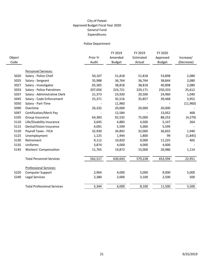|        |                                    |          | FY 2019       | FY 2019   | FY 2020       |            |
|--------|------------------------------------|----------|---------------|-----------|---------------|------------|
| Object |                                    | Prior Yr | Amended       | Estimated | Approved      | Increase/  |
| Code   |                                    | Audit    | <b>Budget</b> | Actual    | <b>Budget</b> | (Decrease) |
|        |                                    |          |               |           |               |            |
|        | Personnel Services:                |          |               |           |               |            |
| 5020   | Salary - Police Chief              | 50,107   | 51,818        | 51,818    | 53,898        | 2,080      |
| 5025   | Salary - Sergeant                  | 35,988   | 36,764        | 36,764    | 38,844        | 2,080      |
| 5027   | Salary - Investigator              | 65,365   | 38,818        | 38,818    | 40,898        | 2,080      |
| 5033   | Salary - Police Patrolmen          | 207,056  | 224,721       | 229,171   | 250,333       | 25,612     |
| 5037   | Salary - Administrative Clerk      | 21,373   | 23,920        | 20,500    | 24,960        | 1,040      |
| 5045   | Salary - Code Enforcement          | 25,371   | 35,516        | 35,857    | 39,468        | 3,952      |
| 5050   | Salary - Part-Time                 |          | 11,960        |           |               | (11,960)   |
| 5090   | Overtime                           | 26,332   | 20,000        | 20,000    | 20,000        |            |
| 5097   | <b>Certification/Merit Pay</b>     |          | 12,584        |           | 13,052        | 468        |
| 5105   | Group Insurance                    | 64,383   | 92,532        | 75,000    | 88,253        | (4, 279)   |
| 5110   | Life/Disability Insurance          | 3,645    | 4,883         | 4,500     | 5,147         | 264        |
| 5115   | Dental/Vision Insurance            | 4,091    | 5,599         | 5,000     | 5,599         |            |
| 5120   | Payroll Taxes - FICA               | 32,930   | 34,892        | 32,000    | 36,832        | 1,940      |
| 5125   | Unemployment                       | 1,125    | 1,944         | 1,800     | 99            | (1, 845)   |
| 5130   | Retirement                         | 9,112    | 10,820        | 9,000     | 11,225        | 405        |
| 5135   | Uniforms                           | 3,874    | 4,000         | 4,000     | 4,000         |            |
| 5145   | <b>Workers' Compensation</b>       | 11,765   | 19,872        | 15,000    | 20,986        | 1,114      |
|        | <b>Total Personnel Services</b>    | 562,517  | 630,643       | 579,228   | 653,594       | 22,951     |
|        |                                    |          |               |           |               |            |
|        | <b>Professional Services:</b>      |          |               |           |               |            |
| 5220   | <b>Computer Support</b>            | 2,964    | 4,000         | 5,000     | 9,000         | 5,000      |
| 5240   | Legal Services                     | 2,380    | 2,000         | 3,100     | 2,500         | 500        |
|        | <b>Total Professional Services</b> | 5,344    | 6,000         | 8,100     | 11,500        | 5,500      |
|        |                                    |          |               |           |               |            |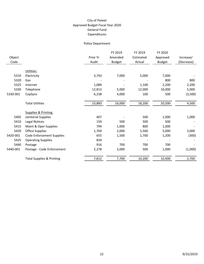| Object   |                                      | Prior Yr | FY 2019<br>Amended | FY 2019<br>Estimated | FY 2020<br>Approved | Increase/  |
|----------|--------------------------------------|----------|--------------------|----------------------|---------------------|------------|
| Code     |                                      | Audit    | <b>Budget</b>      | Actual               | <b>Budget</b>       | (Decrease) |
|          | Utilities:                           |          |                    |                      |                     |            |
| 5310     | Electricity                          | 3,743    | 7,000              | 5,000                | 7,000               |            |
| 5320     | Gas                                  |          |                    |                      | 800                 | 800        |
| 5325     | Internet                             | 1,089    |                    | 1,100                | 2,200               | 2,200      |
| 5330     | Telephone                            | 12,813   | 5,000              | 12,000               | 10,000              | 5,000      |
| 5330-001 | CopSync                              | 6,238    | 4,000              | 100                  | 500                 | (3,500)    |
|          |                                      |          |                    |                      |                     |            |
|          | <b>Total Utilities</b>               | 23,883   | 16,000             | 18,200               | 20,500              | 4,500      |
|          |                                      |          |                    |                      |                     |            |
|          | <b>Supplies &amp; Printing:</b>      |          |                    |                      |                     |            |
| 5405     | Janitorial Supplies                  | 407      |                    | 500                  | 1,000               | 1,000      |
| 5410     | Legal Notices                        | 159      | 500                | 500                  | 500                 |            |
| 5415     | Maint & Oper Supplies                | 794      | 1,000              | 800                  | 1,000               |            |
| 5420     | <b>Office Supplies</b>               | 1,769    | 2,000              | 5,500                | 5,000               | 3,000      |
| 5420-001 | <b>Code Enforcement Supplies</b>     | 655      | 1,500              | 1,700                | 1,200               | (300)      |
| 5425     | <b>Operating Supplies</b>            | 834      |                    |                      |                     |            |
| 5440     | Postage                              | 916      | 700                | 700                  | 700                 |            |
| 5440-001 | Postage - Code Enforcement           | 2,278    | 2,000              | 500                  | 1,000               | (1,000)    |
|          |                                      |          |                    |                      |                     |            |
|          | <b>Total Supplies &amp; Printing</b> | 7,812    | 7,700              | 10,200               | 10,400              | 2,700      |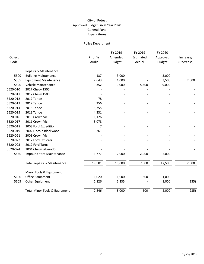| Object<br>Code |                                          | Prior Yr<br>Audit | FY 2019<br>Amended<br><b>Budget</b> | FY 2019<br>Estimated<br>Actual | FY 2020<br>Approved<br><b>Budget</b> | Increase/<br>(Decrease) |
|----------------|------------------------------------------|-------------------|-------------------------------------|--------------------------------|--------------------------------------|-------------------------|
|                | Repairs & Maintenance:                   |                   |                                     |                                |                                      |                         |
| 5500           | <b>Building Maintenance</b>              | 137               | 3,000                               |                                | 3,000                                |                         |
| 5505           | <b>Equipment Maintenance</b>             | 2,643             | 1,000                               |                                | 3,500                                | 2,500                   |
| 5520           | Vehicle Maintenance                      | 352               | 9,000                               | 5,500                          | 9,000                                |                         |
| 5520-010       | 2017 Chevy 1500                          |                   |                                     |                                |                                      |                         |
| 5520-011       | 2017 Chevy 1500                          |                   |                                     |                                |                                      |                         |
| 5520-012       | 2017 Tahoe                               | 78                |                                     |                                |                                      |                         |
| 5520-013       | 2017 Tahoe                               | 256               |                                     |                                |                                      |                         |
| 5520-014       | 2013 Tahoe                               | 3,355             |                                     |                                |                                      |                         |
| 5520-015       | 2013 Tahoe                               | 4,331             |                                     |                                |                                      |                         |
| 5520-016       | 2010 Crown Vic                           | 1,126             |                                     |                                |                                      |                         |
| 5520-017       | 2011 Crown Vic                           | 3,078             |                                     |                                |                                      |                         |
| 5520-018       | 2003 Ford Expedition                     | 7                 |                                     |                                |                                      |                         |
| 5520-019       | 2002 Lincoln Blackwood                   | 361               |                                     |                                |                                      |                         |
| 5520-021       | 2003 Crown Vic                           |                   |                                     |                                |                                      |                         |
| 5520-022       | 2017 Ford Explorer                       |                   |                                     |                                |                                      |                         |
| 5520-023       | 2017 Ford Tarus                          |                   |                                     |                                |                                      |                         |
| 5520-024       | 2004 Chevy Silverado                     |                   |                                     |                                |                                      |                         |
| 5530           | <b>Impound Yard Maintenance</b>          | 3,777             | 2,000                               | 2,000                          | 2,000                                |                         |
|                | <b>Total Repairs &amp; Maintenance</b>   | 19,501            | 15,000                              | 7,500                          | 17,500                               | 2,500                   |
|                | Minor Tools & Equipment                  |                   |                                     |                                |                                      |                         |
| 5600           | Office Equipment                         | 1,020             | 1,000                               | 600                            | 1,000                                |                         |
| 5605           | Other Equipment                          | 1,826             | 1,235                               |                                | 1,000                                | (235)                   |
|                | <b>Total Minor Tools &amp; Equipment</b> | 2,846             | 3,000                               | 600                            | 2,000                                | (235)                   |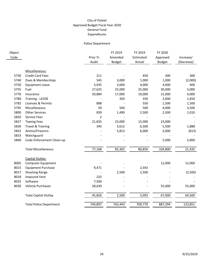| Object<br>Code |                                | Prior Yr<br>Audit | FY 2019<br>Amended<br><b>Budget</b> | FY 2019<br>Estimated<br>Actual | FY 2020<br>Approved<br><b>Budget</b> | Increase/<br>(Decrease) |
|----------------|--------------------------------|-------------------|-------------------------------------|--------------------------------|--------------------------------------|-------------------------|
|                | Miscellaneous:                 |                   |                                     |                                |                                      |                         |
| 5730           | <b>Credit Card Fees</b>        | 211               |                                     | 450                            | 300                                  | 300                     |
| 5740           | Dues & Memberships             | 545               | 3,000                               | 1,000                          | 1,000                                | (2,000)                 |
| 5750           | <b>Equipment Lease</b>         | 3,935             | 3,600                               | 4,000                          | 4,000                                | 400                     |
| 5755           | Fuel                           | 27,625            | 25,000                              | 25,000                         | 30,000                               | 5,000                   |
| 5770           | Insurance                      | 20,884            | 17,000                              | 19,000                         | 21,000                               | 4,000                   |
| 5780           | <b>Training - LEOSE</b>        |                   | 350                                 | 350                            | 2,000                                | 1,650                   |
| 5782           | Licenses & Permits             | 888               |                                     | 550                            | 1,500                                | 1,500                   |
| 5795           | Miscellaneous                  | 59                | 500                                 | 500                            | 4,000                                | 3,500                   |
| 5800           | <b>Other Services</b>          | 839               | 1,490                               | 2,500                          | 2,500                                | 1,010                   |
| 5820           | <b>Service Fees</b>            | $\overline{2}$    |                                     |                                |                                      |                         |
| 5827           | <b>Towing Fees</b>             | 21,835            | 23,000                              | 15,000                         | 23,000                               |                         |
| 5830           | <b>Travel &amp; Training</b>   | 345               | 3,612                               | 6,500                          | 5,500                                | 1,888                   |
| 5832           | Ammo/Firearms                  |                   | 5,813                               | 6,000                          | 5,000                                | (813)                   |
| 5833           | Watchguard                     |                   |                                     |                                |                                      |                         |
| 5840           | Code Enforcement Clean-up      |                   |                                     |                                | 5,000                                | 5,000                   |
|                | <b>Total Miscellaneous</b>     | 77,168            | 83,365                              | 80,850                         | 104,800                              | 21,435                  |
|                | Capital Outlay:                |                   |                                     |                                |                                      |                         |
| 8005           | <b>Computer Equipment</b>      |                   |                                     |                                | 12,000                               | 12,000                  |
| 8015           | <b>Equipment Purchase</b>      | 9,471             |                                     | 2,592                          |                                      |                         |
| 8017           | Shooting Range                 |                   | 2,500                               | 2,500                          |                                      | (2,500)                 |
| 8018           | <b>Impound Yard</b>            | 225               |                                     |                                |                                      |                         |
| 8025           | Software                       | 7,500             |                                     |                                |                                      |                         |
| 8030           | Vehicle Purchases              | 28,630            |                                     |                                | 55,000                               | 55,000                  |
|                | <b>Total Capital Outlay</b>    | 45,826            | 2,500                               | 5,092                          | 67,000                               | 64,500                  |
|                | <b>Total Police Department</b> | 744,897           | 763,443                             | 709,770                        | 887,294                              | 123,851                 |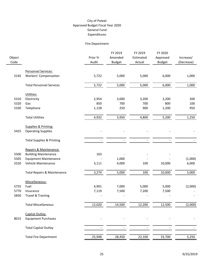# Fire Department

| Object<br>Code |                                        | Prior Yr<br>Audit | FY 2019<br>Amended<br><b>Budget</b> | FY 2019<br>Estimated<br>Actual | FY 2020<br>Approved<br><b>Budget</b> | Increase/<br>(Decrease) |
|----------------|----------------------------------------|-------------------|-------------------------------------|--------------------------------|--------------------------------------|-------------------------|
|                | Personnel Services:                    |                   |                                     |                                |                                      |                         |
| 5145           | <b>Workers' Compensation</b>           | 5,722             | 5,000                               | 5,000                          | 6,000                                | 1,000                   |
|                | <b>Total Personnel Services</b>        | 5,722             | 5,000                               | 5,000                          | 6,000                                | 1,000                   |
|                | Utilities:                             |                   |                                     |                                |                                      |                         |
| 5310           | Electricity                            | 2,954             | 3,000                               | 3,200                          | 3,200                                | 200                     |
| 5320           | Gas                                    | 850               | 700                                 | 700                            | 800                                  | 100                     |
| 5330           | Telephone                              | 1,128             | 250                                 | 900                            | 1,200                                | 950                     |
|                | <b>Total Utilities</b>                 | 4,932             | 3,950                               | 4,800                          | 5,200                                | 1,250                   |
|                | Supplies & Printing:                   |                   |                                     |                                |                                      |                         |
| 5425           | <b>Operating Supplies</b>              |                   |                                     |                                |                                      |                         |
|                | <b>Total Supplies &amp; Printing</b>   |                   |                                     |                                |                                      |                         |
|                | Repairs & Maintenance:                 |                   |                                     |                                |                                      |                         |
| 5500           | <b>Building Maintenance</b>            | 163               |                                     |                                |                                      |                         |
| 5505           | <b>Equipment Maintenance</b>           |                   | 1,000                               |                                |                                      | (1,000)                 |
| 5520           | Vehicle Maintenance                    | 3,111             | 4,000                               | 100                            | 10,000                               | 6,000                   |
|                | <b>Total Repairs &amp; Maintenance</b> | 3,274             | 5,000                               | 100                            | 10,000                               | 5,000                   |
|                | Miscellaneous:                         |                   |                                     |                                |                                      |                         |
| 5755           | Fuel                                   | 4,901             | 7,000                               | 5,000                          | 5,000                                | (2,000)                 |
| 5770           | Insurance                              | 7,119             | 7,500                               | 7,200                          | 7,500                                |                         |
| 5830           | Travel & Training                      |                   |                                     |                                |                                      |                         |
|                | <b>Total Miscellaneous</b>             | 12,020            | 14,500                              | 12,200                         | 12,500                               | (2,000)                 |
|                | Capital Outlay:                        |                   |                                     |                                |                                      |                         |
| 8015           | <b>Equipment Purchases</b>             |                   |                                     |                                |                                      |                         |
|                | <b>Total Capital Outlay</b>            |                   |                                     |                                |                                      |                         |
|                | <b>Total Fire Department</b>           | 25,948            | 28,450                              | 22,100                         | 33,700                               | 5,250                   |
|                |                                        |                   |                                     |                                |                                      |                         |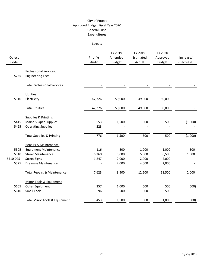#### Streets

| Object<br>Code |                                                          | Prior Yr<br>Audit | FY 2019<br>Amended<br><b>Budget</b> | FY 2019<br>Estimated<br>Actual | FY 2020<br>Approved<br><b>Budget</b> | Increase/<br>(Decrease) |
|----------------|----------------------------------------------------------|-------------------|-------------------------------------|--------------------------------|--------------------------------------|-------------------------|
| 5235           | <b>Professional Services:</b><br><b>Engineering Fees</b> |                   |                                     |                                |                                      |                         |
|                |                                                          |                   |                                     |                                |                                      |                         |
|                | <b>Total Professional Services</b>                       |                   |                                     |                                |                                      |                         |
|                | Utilities:                                               |                   |                                     |                                |                                      |                         |
| 5310           | Electricity                                              | 47,326            | 50,000                              | 49,000                         | 50,000                               |                         |
|                | <b>Total Utilities</b>                                   | 47,326            | 50,000                              | 49,000                         | 50,000                               |                         |
|                | Supplies & Printing:                                     |                   |                                     |                                |                                      |                         |
| 5415           | Maint & Oper Supplies                                    | 553               | 1,500                               | 600                            | 500                                  | (1,000)                 |
| 5425           | <b>Operating Supplies</b>                                | 223               |                                     |                                |                                      |                         |
|                | <b>Total Supplies &amp; Printing</b>                     | 776               | 1,500                               | 600                            | 500                                  | (1,000)                 |
|                | Repairs & Maintenance:                                   |                   |                                     |                                |                                      |                         |
| 5505           | <b>Equipment Maintenance</b>                             | 116               | 500                                 | 1,000                          | 1,000                                | 500                     |
| 5510           | <b>Street Maintenance</b>                                | 6,260             | 5,000                               | 5,500                          | 6,500                                | 1,500                   |
| 5510-075       | <b>Street Signs</b>                                      | 1,247             | 2,000                               | 2,000                          | 2,000                                |                         |
| 5525           | Drainage Maintenance                                     |                   | 2,000                               | 4,000                          | 2,000                                |                         |
|                | <b>Total Repairs &amp; Maintenance</b>                   | 7,623             | 9,500                               | 12,500                         | 11,500                               | 2,000                   |
|                | Minor Tools & Equipment                                  |                   |                                     |                                |                                      |                         |
| 5605           | Other Equipment                                          | 357               | 1,000                               | 500                            | 500                                  | (500)                   |
| 5610           | <b>Small Tools</b>                                       | 96                | 500                                 | 300                            | 500                                  |                         |
|                | Total Minor Tools & Equipment                            | 453               | 1,500                               | 800                            | 1,000                                | (500)                   |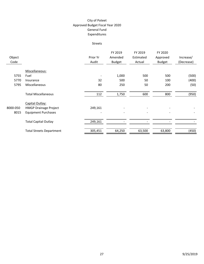#### Streets

|          |                                 |          | FY 2019       | FY 2019   | FY 2020       |            |
|----------|---------------------------------|----------|---------------|-----------|---------------|------------|
| Object   |                                 | Prior Yr | Amended       | Estimated | Approved      | Increase/  |
| Code     |                                 | Audit    | <b>Budget</b> | Actual    | <b>Budget</b> | (Decrease) |
|          | Miscellaneous:                  |          |               |           |               |            |
| 5755     | Fuel                            |          | 1,000         | 500       | 500           | (500)      |
| 5770     | Insurance                       | 32       | 500           | 50        | 100           | (400)      |
| 5795     | Miscellaneous                   | 80       | 250           | 50        | 200           | (50)       |
|          | <b>Total Miscellaneous</b>      | 112      | 1,750         | 600       | 800           | (950)      |
|          | Capital Outlay:                 |          |               |           |               |            |
| 8000-050 | <b>HMGP Drainage Project</b>    | 249,161  |               |           |               |            |
| 8015     | <b>Equipment Purchases</b>      |          |               |           |               |            |
|          | <b>Total Capital Outlay</b>     | 249,161  |               |           |               |            |
|          | <b>Total Streets Department</b> | 305,451  | 64,250        | 63,500    | 63,800        | (450)      |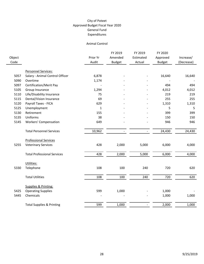#### Animal Control

|        |                                      |              | FY 2019        | FY 2019        | FY 2020       |            |
|--------|--------------------------------------|--------------|----------------|----------------|---------------|------------|
| Object |                                      | Prior Yr     | Amended        | Estimated      | Approved      | Increase/  |
| Code   |                                      | Audit        | <b>Budget</b>  | Actual         | <b>Budget</b> | (Decrease) |
|        | Personnel Services:                  |              |                |                |               |            |
| 5057   | Salary - Animal Control Officer      | 6,878        |                |                | 16,640        | 16,640     |
| 5090   | Overtime                             | 1,174        |                |                |               |            |
| 5097   | Certification/Merit Pay              |              |                |                | 494           | 494        |
| 5105   | Group Insurance                      | 1,294        |                |                | 4,012         | 4,012      |
| 5110   | Life/Disability Insurance            | 75           |                |                | 219           | 219        |
| 5115   | Dental/Vision Insurance              | 69           |                |                | 255           | 255        |
| 5120   | Payroll Taxes - FICA                 | 629          |                |                | 1,310         | 1,310      |
| 5125   | Unemployment                         | $\mathbf{1}$ |                |                | 5             | 5          |
| 5130   | Retirement                           | 155          |                |                | 399           | 399        |
| 5135   | Uniforms                             | 38           |                |                | 150           | 150        |
| 5145   | <b>Workers' Compensation</b>         | 649          |                |                | 946           | 946        |
|        |                                      |              |                |                |               |            |
|        | <b>Total Personnel Services</b>      | 10,962       | $\blacksquare$ | $\blacksquare$ | 24,430        | 24,430     |
|        |                                      |              |                |                |               |            |
|        | <b>Professional Services</b>         |              |                |                |               |            |
| 5255   | <b>Veterinary Services</b>           | 428          | 2,000          | 5,000          | 6,000         | 4,000      |
|        |                                      |              |                |                |               |            |
|        | <b>Total Professional Services</b>   | 428          | 2,000          | 5,000          | 6,000         | 4,000      |
|        |                                      |              |                |                |               |            |
| 5330   | Utilities:<br>Telephone              | 108          | 100            | 240            | 720           | 620        |
|        |                                      |              |                |                |               |            |
|        | <b>Total Utilities</b>               | 108          | 100            | 240            | 720           | 620        |
|        |                                      |              |                |                |               |            |
|        | Supplies & Printing:                 |              |                |                |               |            |
| 5425   | <b>Operating Supplies</b>            | 599          | 1,000          |                | 1,000         |            |
| 5445   | Chemicals                            |              |                |                | 1,000         | 1,000      |
|        |                                      |              |                |                |               |            |
|        | <b>Total Supplies &amp; Printing</b> | 599          | 1,000          |                | 2,000         | 1,000      |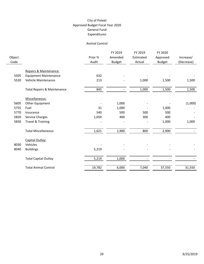#### Animal Control

|        |                                        |          | FY 2019                  | FY 2019   | FY 2020       |            |
|--------|----------------------------------------|----------|--------------------------|-----------|---------------|------------|
| Object |                                        | Prior Yr | Amended                  | Estimated | Approved      | Increase/  |
| Code   |                                        | Audit    | <b>Budget</b>            | Actual    | <b>Budget</b> | (Decrease) |
|        |                                        |          |                          |           |               |            |
|        | Repairs & Maintenance:                 |          |                          |           |               |            |
| 5505   | <b>Equipment Maintenance</b>           | 632      |                          |           |               |            |
| 5520   | Vehicle Maintenance                    | 213      |                          | 1,000     | 1,500         | 1,500      |
|        | <b>Total Repairs &amp; Maintenance</b> | 845      | $\overline{\phantom{a}}$ | 1,000     | 1,500         | 1,500      |
|        | Miscellaneous:                         |          |                          |           |               |            |
| 5605   | Other Equipment                        |          | 1,000                    |           |               | (1,000)    |
| 5755   | Fuel                                   | 31       | 1,000                    |           | 1,000         |            |
| 5770   | Insurance                              | 540      | 500                      | 500       | 500           |            |
| 5820   | Service Charges                        | 1,050    | 400                      | 300       | 400           |            |
| 5830   | <b>Travel &amp; Training</b>           |          |                          |           | 1,000         | 1,000      |
|        |                                        |          |                          |           |               |            |
|        | <b>Total Miscellaneous</b>             | 1,621    | 1,900                    | 800       | 2,900         |            |
|        | Capital Outlay:                        |          |                          |           |               |            |
| 8030   | Vehicles                               |          |                          |           |               |            |
| 8040   | <b>Buildings</b>                       | 5,219    |                          |           |               |            |
|        | <b>Total Capital Outlay</b>            | 5,219    | 1,000                    |           |               |            |
|        |                                        |          |                          |           |               |            |
|        | <b>Total Animal Control</b>            | 19,782   | 6,000                    | 7,040     | 37,550        | 31,550     |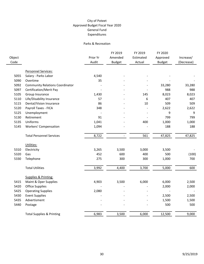#### Parks & Recreation

|        |                                        |          | FY 2019       | FY 2019   | FY 2020       |            |
|--------|----------------------------------------|----------|---------------|-----------|---------------|------------|
| Object |                                        | Prior Yr | Amended       | Estimated | Approved      | Increase/  |
| Code   |                                        | Audit    | <b>Budget</b> | Actual    | <b>Budget</b> | (Decrease) |
|        |                                        |          |               |           |               |            |
|        | Personnel Services:                    |          |               |           |               |            |
| 5055   | Salary - Parks Labor                   | 4,540    |               |           |               |            |
| 5090   | Overtime                               | 35       |               |           |               |            |
| 5092   | <b>Community Relations Coordinator</b> |          |               |           | 33,280        | 33,280     |
| 5097   | Certification/Merit Pay                |          |               |           | 988           | 988        |
| 5105   | Group Insurance                        | 1,430    |               | 145       | 8,023         | 8,023      |
| 5110   | Life/Disability Insurance              | 57       |               | 6         | 407           | 407        |
| 5115   | Dental/Vision Insurance                | 86       |               | 10        | 509           | 509        |
| 5120   | Payroll Taxes - FICA                   | 348      |               |           | 2,622         | 2,622      |
| 5125   | Unemployment                           |          |               |           | 9             | 9          |
| 5130   | Retirement                             | 91       |               |           | 799           | 799        |
| 5135   | Uniforms                               | 1,041    |               | 400       | 1,000         | 1,000      |
| 5145   | <b>Workers' Compensation</b>           | 1,094    |               |           | 188           | 188        |
|        | <b>Total Personnel Services</b>        | 8,722    | $\frac{1}{2}$ | 561       | 47,825        | 47,825     |
|        |                                        |          |               |           |               |            |
|        | Utilities:                             |          |               |           |               |            |
| 5310   | Electricity                            | 3,265    | 3,500         | 3,000     | 3,500         |            |
| 5320   | Gas                                    | 452      | 600           | 400       | 500           | (100)      |
| 5330   | Telephone                              | 275      | 300           | 300       | 1,000         | 700        |
|        | <b>Total Utilities</b>                 | 3,992    | 4,400         | 3,700     | 5,000         | 600        |
|        |                                        |          |               |           |               |            |
|        | Supplies & Printing:                   |          |               |           |               |            |
| 5415   | Maint & Oper Supplies                  | 4,903    | 3,500         | 6,000     | 6,000         | 2,500      |
| 5420   | <b>Office Supplies</b>                 |          |               |           | 2,000         | 2,000      |
| 5425   | <b>Operating Supplies</b>              | 2,080    |               |           |               |            |
| 5430   | <b>Event Supplies</b>                  |          |               |           | 2,500         | 2,500      |
| 5435   | Advertisment                           |          |               |           | 1,500         | 1,500      |
| 5440   | Postage                                |          |               |           | 500           | 500        |
|        | <b>Total Supplies &amp; Printing</b>   | 6,983    | 3,500         | 6,000     | 12,500        | 9,000      |
|        |                                        |          |               |           |               |            |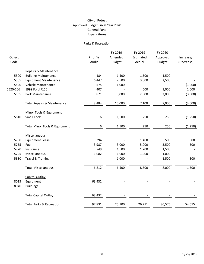#### Parks & Recreation

| Object<br>Code |                                          | Prior Yr<br>Audit | FY 2019<br>Amended<br><b>Budget</b> | FY 2019<br>Estimated<br>Actual | FY 2020<br>Approved<br><b>Budget</b> | Increase/<br>(Decrease) |
|----------------|------------------------------------------|-------------------|-------------------------------------|--------------------------------|--------------------------------------|-------------------------|
|                |                                          |                   |                                     |                                |                                      |                         |
|                | Repairs & Maintenance:                   |                   |                                     |                                |                                      |                         |
| 5500           | <b>Building Maintenance</b>              | 184               | 1,500                               | 1,500                          | 1,500                                |                         |
| 5505           | <b>Equipment Maintenance</b>             | 6,447             | 2,500                               | 3,000                          | 2,500                                |                         |
| 5520           | Vehicle Maintenance                      | 575               | 1,000                               |                                |                                      | (1,000)                 |
| 5520-106       | 1999 Ford F150                           | 407               |                                     | 600                            | 1,000                                | 1,000                   |
| 5535           | Park Maintenance                         | 871               | 5,000                               | 2,000                          | 2,000                                | (3,000)                 |
|                | <b>Total Repairs &amp; Maintenance</b>   | 8,484             | 10,000                              | 7,100                          | 7,000                                | (3,000)                 |
|                | Minor Tools & Equipment                  |                   |                                     |                                |                                      |                         |
| 5610           | <b>Small Tools</b>                       | 6                 | 1,500                               | 250                            | 250                                  | (1, 250)                |
|                | <b>Total Minor Tools &amp; Equipment</b> | $6\overline{6}$   | 1,500                               | 250                            | 250                                  | (1, 250)                |
|                | Miscellaneous:                           |                   |                                     |                                |                                      |                         |
| 5750           | <b>Equipment Lease</b>                   | 394               |                                     | 1,400                          | 500                                  | 500                     |
| 5755           | Fuel                                     | 3,987             | 3,000                               | 5,000                          | 3,500                                | 500                     |
| 5770           | Insurance                                | 749               | 1,500                               | 1,200                          | 1,500                                |                         |
| 5795           | Miscellaneous                            | 1,082             | 1,000                               | 1,000                          | 1,000                                |                         |
| 5830           | <b>Travel &amp; Training</b>             |                   | 1,000                               |                                | 1,500                                | 500                     |
|                | <b>Total Miscellaneous</b>               | 6,212             | 6,500                               | 8,600                          | 8,000                                | 1,500                   |
|                | Capital Outlay:                          |                   |                                     |                                |                                      |                         |
| 8015           | Equipment                                | 63,432            |                                     |                                |                                      |                         |
| 8040           | <b>Buildings</b>                         |                   |                                     |                                |                                      |                         |
|                | <b>Total Capital Outlay</b>              | 63,432            |                                     |                                |                                      |                         |
|                | <b>Total Parks &amp; Recreation</b>      | 97,831            | 25,900                              | 26,211                         | 80,575                               | 54,675                  |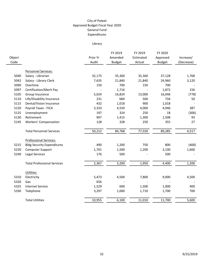# Library

|                |                                    |                   | FY 2019                  | FY 2019             | FY 2020                   |                         |
|----------------|------------------------------------|-------------------|--------------------------|---------------------|---------------------------|-------------------------|
| Object<br>Code |                                    | Prior Yr<br>Audit | Amended<br><b>Budget</b> | Estimated<br>Actual | Approved<br><b>Budget</b> | Increase/<br>(Decrease) |
|                | Personnel Services:                |                   |                          |                     |                           |                         |
| 5040           | Salary - Librarian                 | 32,175            | 35,360                   | 35,360              | 37,128                    | 1,768                   |
| 5042           | Salary - Library Clerk             | 7,635             | 21,840                   | 21,840              | 24,960                    | 3,120                   |
| 5090           | Overtime                           | 150               | 700                      | 150                 | 700                       |                         |
| 5097           | Certification/Merit Pay            |                   | 1,716                    |                     | 1,872                     | 156                     |
| 5105           | Group Insurance                    | 5,024             | 16,824                   | 13,000              | 16,046                    | (778)                   |
| 5110           | Life/Disability Insurance          | 231               | 684                      | 500                 | 734                       | 50                      |
| 5115           | Dental/Vision Insurance            | 432               | 1,018                    | 900                 | 1,018                     |                         |
| 5120           | Payroll Taxes - FICA               | 3,333             | 4,559                    | 4,000               | 4,946                     | 387                     |
| 5125           | Unemployment                       | 197               | 324                      | 250                 | 18                        | (306)                   |
| 5130           | Retirement                         | 907               | 1,415                    | 1,300               | 1,508                     | 93                      |
| 5145           | <b>Workers' Compensation</b>       | 128               | 328                      | 250                 | 355                       | 27                      |
|                | <b>Total Personnel Services</b>    | 50,212            | 84,768                   | 77,550              | 89,285                    | 4,517                   |
|                | Professional Services:             |                   |                          |                     |                           |                         |
| 5215           | <b>Bldg Security Expenditures</b>  | 490               | 1,200                    | 750                 | 800                       | (400)                   |
| 5220           | <b>Computer Support</b>            | 1,701             | 1,500                    | 1,200               | 3,100                     | 1,600                   |
| 5240           | <b>Legal Services</b>              | 176               | 500                      |                     | 500                       |                         |
|                | <b>Total Professional Services</b> | 2,367             | 3,200                    | 1,950               | 4,400                     | 1,200                   |
|                | Utilities:                         |                   |                          |                     |                           |                         |
| 5310           | Electricity                        | 5,473             | 4,500                    | 7,800               | 9,000                     | 4,500                   |
| 5320           | Gas                                | 656               |                          |                     |                           |                         |
| 5325           | <b>Internet Service</b>            | 1,529             | 600                      | 1,500               | 1,000                     | 400                     |
| 5330           | Telephone                          | 3,297             | 1,000                    | 1,710               | 1,700                     | 700                     |
|                | <b>Total Utilities</b>             | 10,955            | 6,100                    | 11,010              | 11,700                    | 5,600                   |
|                |                                    |                   |                          |                     |                           |                         |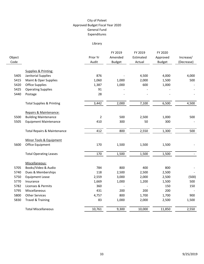# Library

|                |                                        |                   | FY 2019                  | FY 2019             | FY 2020                   |                         |
|----------------|----------------------------------------|-------------------|--------------------------|---------------------|---------------------------|-------------------------|
| Object<br>Code |                                        | Prior Yr<br>Audit | Amended<br><b>Budget</b> | Estimated<br>Actual | Approved<br><b>Budget</b> | Increase/<br>(Decrease) |
|                |                                        |                   |                          |                     |                           |                         |
|                | Supplies & Printing:                   |                   |                          |                     |                           |                         |
| 5405           | Janitorial Supplies                    | 876               |                          | 4,500               | 4,000                     | 4,000                   |
| 5415           | Maint & Oper Supplies                  | 1,060             | 1,000                    | 2,000               | 1,500                     | 500                     |
| 5420           | <b>Office Supplies</b>                 | 1,387             | 1,000                    | 600                 | 1,000                     |                         |
| 5425           | <b>Operating Supplies</b>              | 91                |                          |                     |                           |                         |
| 5440           | Postage                                | 28                |                          |                     |                           |                         |
|                | <b>Total Supplies &amp; Printing</b>   | 3,442             | 2,000                    | 7,100               | 6,500                     | 4,500                   |
|                | Repairs & Maintenance:                 |                   |                          |                     |                           |                         |
| 5500           | <b>Building Maintenance</b>            | $\overline{2}$    | 500                      | 2,500               | 1,000                     | 500                     |
| 5505           | <b>Equipment Maintenance</b>           | 410               | 300                      | 50                  | 300                       |                         |
|                | <b>Total Repairs &amp; Maintenance</b> | 412               | 800                      | 2,550               | 1,300                     | 500                     |
|                | Minor Tools & Equipment                |                   |                          |                     |                           |                         |
| 5600           | Office Equipment                       | 170               | 1,500                    | 1,500               | 1,500                     |                         |
|                | <b>Total Operating Leases</b>          | 170               | 1,500                    | 1,500               | 1,500                     |                         |
|                | Miscellaneous:                         |                   |                          |                     |                           |                         |
| 5705           | Books/Video & Audio                    | 784               | 800                      | 400                 | 800                       |                         |
| 5740           | Dues & Memberships                     | 118               | 2,500                    | 2,500               | 2,500                     |                         |
| 5750           | <b>Equipment Lease</b>                 | 2,559             | 3,000                    | 2,000               | 2,500                     | (500)                   |
| 5770           | Insurance                              | 1,669             | 1,000                    | 1,200               | 1,500                     | 500                     |
| 5782           | Licenses & Permits                     | 360               |                          |                     | 150                       | 150                     |
| 5795           | Miscellaneous                          | 431               | 200                      | 200                 | 200                       |                         |
| 5800           | <b>Other Services</b>                  | 4,757             | 800                      | 1,700               | 1,700                     | 900                     |
| 5830           | Travel & Training                      | 83                | 1,000                    | 2,000               | 2,500                     | 1,500                   |
|                | <b>Total Miscellaneous</b>             | 10,761            | 9,300                    | 10,000              | 11,850                    | 2,550                   |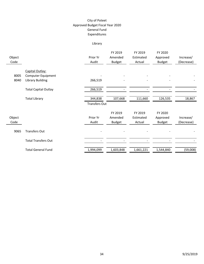# Library

| Object<br>Code |                                                                  | Prior Yr<br>Audit    | FY 2019<br>Amended<br><b>Budget</b> | FY 2019<br>Estimated<br>Actual | FY 2020<br>Approved<br><b>Budget</b> | Increase/<br>(Decrease) |
|----------------|------------------------------------------------------------------|----------------------|-------------------------------------|--------------------------------|--------------------------------------|-------------------------|
| 8005<br>8040   | Capital Outlay:<br>Computer Equipment<br><b>Library Building</b> | 266,519              |                                     |                                |                                      |                         |
|                | <b>Total Capital Outlay</b>                                      | 266,519              |                                     |                                |                                      |                         |
|                | <b>Total Library</b>                                             | 344,838              | 107,668                             | 111,660                        | 126,535                              | 18,867                  |
|                |                                                                  | <b>Transfers Out</b> |                                     |                                |                                      |                         |
| Object<br>Code |                                                                  | Prior Yr<br>Audit    | FY 2019<br>Amended<br><b>Budget</b> | FY 2019<br>Estimated<br>Actual | FY 2020<br>Approved<br><b>Budget</b> | Increase/<br>(Decrease) |
| 9065           | <b>Transfers Out</b>                                             |                      |                                     |                                |                                      |                         |
|                | <b>Total Transfers Out</b>                                       |                      |                                     |                                |                                      |                         |
|                | <b>Total General Fund</b>                                        | 1,994,099            | 1,603,848                           | 1,661,221                      | 1,544,840                            | (59,008)                |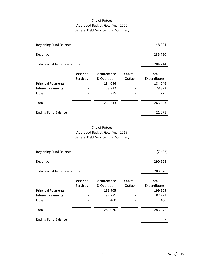# City of Poteet Approved Budget Fiscal Year 2020 General Debt Service Fund Summary

| <b>Beginning Fund Balance</b>             |             |         |              |  |  |  |  |
|-------------------------------------------|-------------|---------|--------------|--|--|--|--|
| Revenue                                   |             |         |              |  |  |  |  |
| Total available for operations<br>284,714 |             |         |              |  |  |  |  |
|                                           |             |         |              |  |  |  |  |
| Personnel                                 | Maintenance | Capital | Total        |  |  |  |  |
| Services                                  | & Operation | Outlay  | Expenditures |  |  |  |  |
|                                           | 184,046     |         | 184,046      |  |  |  |  |
|                                           | 78,822      |         | 78,822       |  |  |  |  |
|                                           | 775         |         | 775          |  |  |  |  |
|                                           | 263,643     |         | 263,643      |  |  |  |  |
|                                           |             |         | 21,071       |  |  |  |  |
|                                           |             |         |              |  |  |  |  |

# City of Poteet Approved Budget Fiscal Year 2019 General Debt Service Fund Summary

| <b>Beginning Fund Balance</b>             |           | (7, 452)    |         |              |  |  |  |
|-------------------------------------------|-----------|-------------|---------|--------------|--|--|--|
| Revenue                                   |           | 290,528     |         |              |  |  |  |
| 283,076<br>Total available for operations |           |             |         |              |  |  |  |
|                                           | Personnel | Maintenance | Capital | Total        |  |  |  |
|                                           | Services  | & Operation | Outlay  | Expenditures |  |  |  |
| <b>Principal Payments</b>                 |           | 199,905     |         | 199,905      |  |  |  |
| <b>Interest Payments</b>                  |           | 82,771      |         | 82,771       |  |  |  |
| Other                                     |           | 400         |         | 400          |  |  |  |
| Total                                     |           | 283,076     |         | 283,076      |  |  |  |
| <b>Ending Fund Balance</b>                |           |             |         |              |  |  |  |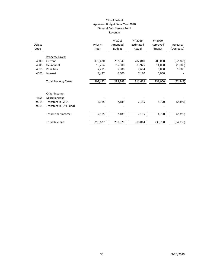#### City of Poteet Approved Budget Fiscal Year 2020 General Debt Service Fund Revenue

|        |                             |          | FY 2019       | FY 2019   | FY 2020       |            |
|--------|-----------------------------|----------|---------------|-----------|---------------|------------|
| Object |                             | Prior Yr | Amended       | Estimated | Approved      | Increase/  |
| Code   |                             | Audit    | <b>Budget</b> | Actual    | <b>Budget</b> | (Decrease) |
|        |                             |          |               |           |               |            |
|        | <b>Property Taxes:</b>      |          |               |           |               |            |
| 4000   | Current                     | 178,470  | 257,343       | 282,840   | 205,000       | (52,343)   |
| 4005   | Delinquent                  | 15,264   | 15,000        | 13,925    | 14,000        | (1,000)    |
| 4015   | Penalties                   | 7,271    | 5,000         | 7,684     | 6,000         | 1,000      |
| 4020   | Interest                    | 8,437    | 6,000         | 7,180     | 6,000         |            |
|        |                             |          |               |           |               |            |
|        | <b>Total Property Taxes</b> | 209,442  | 283,343       | 311,629   | 231,000       | (52, 343)  |
|        |                             |          |               |           |               |            |
|        |                             |          |               |           |               |            |
|        | Other income:               |          |               |           |               |            |
| 4655   | Miscellaneous               |          |               |           |               |            |
| 9015   | Transfers In (VFD)          | 7,185    | 7,185         | 7,185     | 4,790         | (2,395)    |
| 9015   | Transfers In (Util Fund)    |          |               |           |               |            |
|        |                             |          |               |           |               |            |
|        | <b>Total Other Income</b>   | 7,185    | 7,185         | 7,185     | 4,790         | (2, 395)   |
|        |                             |          |               |           |               |            |
|        | <b>Total Revenue</b>        | 216,627  | 290,528       | 318,814   | 235,790       | (54, 738)  |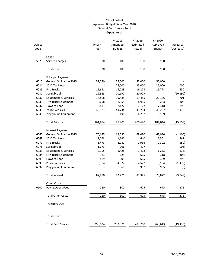|        |                                              |          | FY 2019       | FY 2019   | FY 2020       |            |
|--------|----------------------------------------------|----------|---------------|-----------|---------------|------------|
| Object |                                              | Prior Yr | Amended       | Estimated | Approved      | Increase/  |
| Code   |                                              | Audit    | <b>Budget</b> | Actual    | <b>Budget</b> | (Decrease) |
|        |                                              |          |               |           |               |            |
|        | Other:                                       |          |               |           |               |            |
| 5820   | Service Charges                              | 20       | 100           | 100       | 100           |            |
|        | <b>Total Other</b>                           | 20       | 100           | 100       | 100           |            |
|        | Principal Payment:                           |          |               |           |               |            |
| 6017   | <b>General Obligation 2015</b>               | 52,250   | 55,000        | 55,000    | 55,000        |            |
| 6021   | 2017 Tax Notes                               |          | 25,000        | 25,000    | 26,000        | 1,000      |
| 6025   | <b>Fire Trucks</b>                           | 15,691   | 16,223        | 16,228    | 16,773        | 550        |
| 6030   | Springbrook                                  | 19,323   | 20,190        | 20,909    |               | (20, 190)  |
| 6032   | <b>Equipment &amp; Vehicles</b>              | 18,808   | 19,485        | 19,485    | 20,186        | 701        |
| 6033   | Fire Truck Equipment                         | 8,658    | 8,955         | 8,955     | 9,263         | 308        |
|        |                                              |          |               |           |               |            |
| 6037   | <b>Howard Road</b><br><b>Police Vehicles</b> | 6,837    | 7,122         | 7,122     | 7,418         | 296        |
| 6039   |                                              | 40,327   | 41,734        | 41,734    | 43,207        | 1,473      |
| 6041   | Playground Equipment                         |          | 6,196         | 6,207     | 6,199         | 3          |
|        | <b>Total Principal</b>                       | 161,894  | 199,905       | 200,640   | 184,046       | (15, 859)  |
|        | Interest Payment:                            |          |               |           |               |            |
| 6067   | <b>General Obligation 2015</b>               | 70,675   | 69,080        | 69,080    | 67,980        | (1, 100)   |
| 6069   | 2017 Tax Notes                               | 2,068    | 1,640         | 1,640     | 2,501         | 861        |
| 6070   | <b>Fire Trucks</b>                           | 3,473    | 2,942         | 2,936     | 2,392         | (550)      |
| 6075   | Springbrook                                  | 1,773    | 906           | 497       |               | (906)      |
| 6083   | <b>Equipment &amp; Vehicles</b>              | 2,105    | 1,428         | 1,428     | 1,253         | (175)      |
| 6084   | Fire Truck Equipment                         | 923      | 625           | 625       | 318           | (307)      |
| 6093   | <b>Howard Road</b>                           | 889      | 605           | 605       | 309           | (296)      |
| 6095   | <b>Police Vehicles</b>                       | 5,984    | 4,577         | 4,577     | 3,104         | (1, 473)   |
| 6097   | Playground Equipment                         |          | 968           | 957       | 965           | (3)        |
|        | <b>Total Interest</b>                        | 87,890   | 82,771        | 82,345    | 78,822        | (3,949)    |
|        | Other Costs:                                 |          |               |           |               |            |
| 6100   | Paying Agent Fees                            | 220      | 300           | 675       | 675           | 375        |
|        | <b>Total Other Costs</b>                     | 220      | 300           | 675       | 675           | 375        |
|        | Transfers Out:                               |          |               |           |               |            |
|        |                                              |          |               |           |               |            |
|        | <b>Total Other</b>                           |          |               |           |               |            |
|        | <b>Total Debt Service</b>                    | 250,024  | 283,076       | 283,760   | 263,643       | (19, 433)  |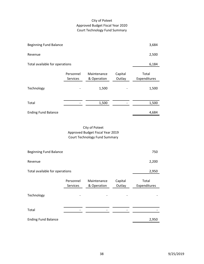# City of Poteet Approved Budget Fiscal Year 2020 Court Technology Fund Summary

| <b>Beginning Fund Balance</b>  |                       |                            |                   | 3,684                 |  |  |
|--------------------------------|-----------------------|----------------------------|-------------------|-----------------------|--|--|
| Revenue                        |                       |                            |                   | 2,500                 |  |  |
| Total available for operations |                       |                            |                   |                       |  |  |
|                                | Personnel<br>Services | Maintenance<br>& Operation | Capital<br>Outlay | Total<br>Expenditures |  |  |
| Technology                     |                       | 1,500                      |                   | 1,500                 |  |  |
| Total                          |                       | 1,500                      |                   | 1,500                 |  |  |
| <b>Ending Fund Balance</b>     |                       |                            |                   | 4,684                 |  |  |

City of Poteet Approved Budget Fiscal Year 2019 Court Technology Fund Summary

| <b>Beginning Fund Balance</b>           | 750                   |                            |                   |                       |  |  |  |
|-----------------------------------------|-----------------------|----------------------------|-------------------|-----------------------|--|--|--|
| Revenue                                 | 2,200                 |                            |                   |                       |  |  |  |
| Total available for operations<br>2,950 |                       |                            |                   |                       |  |  |  |
|                                         | Personnel<br>Services | Maintenance<br>& Operation | Capital<br>Outlay | Total<br>Expenditures |  |  |  |
| Technology                              |                       |                            |                   |                       |  |  |  |
| Total                                   |                       |                            |                   |                       |  |  |  |
| <b>Ending Fund Balance</b>              |                       |                            |                   | 2,950                 |  |  |  |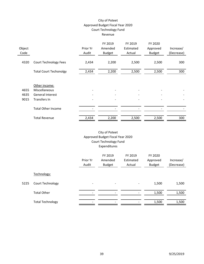#### City of Poteet Approved Budget Fiscal Year 2020 Court Technology Fund Revenue

|        |                               |          | FY 2019       | FY 2019   | FY 2020       |            |
|--------|-------------------------------|----------|---------------|-----------|---------------|------------|
| Object |                               | Prior Yr | Amended       | Estimated | Approved      | Increase/  |
| Code   |                               | Audit    | <b>Budget</b> | Actual    | <b>Budget</b> | (Decrease) |
|        |                               |          |               |           |               |            |
| 4320   | <b>Court Technology Fees</b>  | 2,434    | 2,200         | 2,500     | 2,500         | 300        |
|        |                               |          |               |           |               |            |
|        | <b>Total Court Techonolgy</b> | 2,434    | 2,200         | 2,500     | 2,500         | 300        |
|        |                               |          |               |           |               |            |
|        |                               |          |               |           |               |            |
|        | Other income:                 |          |               |           |               |            |
| 4655   | Miscellaneous                 |          |               |           |               |            |
| 4635   | General Interest              |          |               |           |               |            |
| 9015   | Transfers In                  |          |               |           |               |            |
|        |                               |          |               |           |               |            |
|        | <b>Total Other Income</b>     |          |               |           |               |            |
|        |                               |          |               |           |               |            |
|        | <b>Total Revenue</b>          | 2,434    | 2,200         | 2,500     | 2,500         | 300        |

# City of Poteet Approved Budget Fiscal Year 2020 Court Technology Fund Expenditures

|      |                         | Prior Yr<br>Audit | FY 2019<br>Amended<br><b>Budget</b> | FY 2019<br>Estimated<br>Actual | FY 2020<br>Approved<br><b>Budget</b> | Increase/<br>(Decrease) |
|------|-------------------------|-------------------|-------------------------------------|--------------------------------|--------------------------------------|-------------------------|
|      | Technology:             |                   |                                     |                                |                                      |                         |
| 5225 | Court Technology        |                   | $\overline{\phantom{a}}$            |                                | 1,500                                | 1,500                   |
|      | <b>Total Other</b>      |                   | -                                   |                                | 1,500                                | 1,500                   |
|      | <b>Total Technology</b> |                   | ۰                                   |                                | 1,500                                | 1,500                   |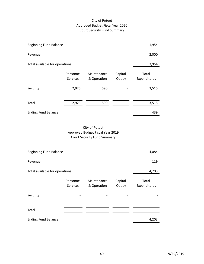# City of Poteet Approved Budget Fiscal Year 2020 Court Security Fund Summary

| <b>Beginning Fund Balance</b>  |                       |                            |                   | 1,954                 |
|--------------------------------|-----------------------|----------------------------|-------------------|-----------------------|
| Revenue                        | 2,000                 |                            |                   |                       |
| Total available for operations |                       |                            |                   | 3,954                 |
|                                | Personnel<br>Services | Maintenance<br>& Operation | Capital<br>Outlay | Total<br>Expenditures |
| Security                       | 2,925                 | 590                        |                   | 3,515                 |
|                                |                       |                            |                   |                       |
| Total                          | 2,925                 | 590                        |                   | 3,515                 |
| <b>Ending Fund Balance</b>     |                       |                            |                   | 439                   |

City of Poteet Approved Budget Fiscal Year 2019 Court Security Fund Summary

| <b>Beginning Fund Balance</b>           | 4,084                 |                            |                   |                       |  |  |
|-----------------------------------------|-----------------------|----------------------------|-------------------|-----------------------|--|--|
| Revenue                                 | 119                   |                            |                   |                       |  |  |
| 4,203<br>Total available for operations |                       |                            |                   |                       |  |  |
|                                         | Personnel<br>Services | Maintenance<br>& Operation | Capital<br>Outlay | Total<br>Expenditures |  |  |
| Security                                |                       |                            |                   |                       |  |  |
| Total                                   |                       |                            |                   |                       |  |  |
| <b>Ending Fund Balance</b>              |                       |                            |                   | 4,203                 |  |  |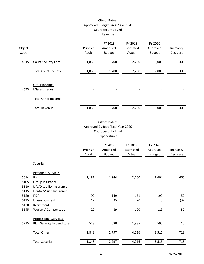# City of Poteet Approved Budget Fiscal Year 2020 Court Security Fund Revenue

| Object<br>Code |                                | Prior Yr<br>Audit | FY 2019<br>Amended<br><b>Budget</b> | FY 2019<br>Estimated<br>Actual | FY 2020<br>Approved<br><b>Budget</b> | Increase/<br>(Decrease) |
|----------------|--------------------------------|-------------------|-------------------------------------|--------------------------------|--------------------------------------|-------------------------|
| 4315           | <b>Court Security Fees</b>     | 1,835             | 1,700                               | 2,200                          | 2,000                                | 300                     |
|                | <b>Total Court Security</b>    | 1,835             | 1,700                               | 2,200                          | 2,000                                | 300                     |
| 4655           | Other income:<br>Miscellaneous |                   | -                                   |                                |                                      |                         |
|                | <b>Total Other Income</b>      |                   |                                     |                                |                                      |                         |
|                | <b>Total Revenue</b>           | 1,835             | 1,700                               | 2,200                          | 2,000                                | 300                     |

# City of Poteet Approved Budget Fiscal Year 2020 Court Security Fund Expenditures

|      |                                   | Prior Yr<br>Audit | FY 2019<br>Amended<br><b>Budget</b> | FY 2019<br>Estimated<br>Actual | FY 2020<br>Approved<br><b>Budget</b> | Increase/<br>(Decrease) |
|------|-----------------------------------|-------------------|-------------------------------------|--------------------------------|--------------------------------------|-------------------------|
|      | Security:                         |                   |                                     |                                |                                      |                         |
|      | Personnel Services:               |                   |                                     |                                |                                      |                         |
| 5014 | <b>Baliff</b>                     | 1,181             | 1,944                               | 2,100                          | 2,604                                | 660                     |
| 5105 | Group Insurance                   |                   |                                     |                                |                                      |                         |
| 5110 | Life/Disability Insurance         |                   |                                     |                                |                                      |                         |
| 5115 | Dental/Vision Insurance           |                   |                                     |                                |                                      |                         |
| 5120 | <b>FICA</b>                       | 90                | 149                                 | 161                            | 199                                  | 50                      |
| 5125 | Unemployment                      | 12                | 35                                  | 20                             | 3                                    | (32)                    |
| 5130 | Retirement                        |                   |                                     |                                |                                      |                         |
| 5145 | <b>Workers' Compensation</b>      | 22                | 89                                  | 100                            | 119                                  | 30                      |
|      | <b>Professional Services:</b>     |                   |                                     |                                |                                      |                         |
| 5215 | <b>Bldg Security Expenditures</b> | 543               | 580                                 | 1,835                          | 590                                  | 10                      |
|      | <b>Total Other</b>                | 1,848             | 2,797                               | 4,216                          | 3,515                                | 718                     |
|      | <b>Total Security</b>             | 1,848             | 2,797                               | 4,216                          | 3,515                                | 718                     |
|      |                                   |                   |                                     |                                |                                      |                         |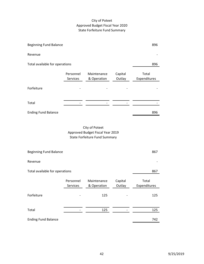# City of Poteet Approved Budget Fiscal Year 2020 State Forfeiture Fund Summary

| <b>Beginning Fund Balance</b>  |                                                                                            |                            |                   | 896                   |  |  |  |  |
|--------------------------------|--------------------------------------------------------------------------------------------|----------------------------|-------------------|-----------------------|--|--|--|--|
| Revenue                        |                                                                                            |                            |                   |                       |  |  |  |  |
| Total available for operations |                                                                                            |                            |                   | 896                   |  |  |  |  |
|                                | Personnel<br>Services                                                                      | Maintenance<br>& Operation | Capital<br>Outlay | Total<br>Expenditures |  |  |  |  |
| Forfeiture                     |                                                                                            |                            |                   |                       |  |  |  |  |
| Total                          |                                                                                            |                            |                   |                       |  |  |  |  |
| <b>Ending Fund Balance</b>     |                                                                                            |                            |                   | 896                   |  |  |  |  |
|                                | City of Poteet<br>Approved Budget Fiscal Year 2019<br><b>State Forfeiture Fund Summary</b> |                            |                   |                       |  |  |  |  |
| <b>Beginning Fund Balance</b>  |                                                                                            |                            |                   | 867                   |  |  |  |  |

| Revenue                        |                       |                            |                   |                       |
|--------------------------------|-----------------------|----------------------------|-------------------|-----------------------|
| Total available for operations |                       |                            |                   | 867                   |
|                                | Personnel<br>Services | Maintenance<br>& Operation | Capital<br>Outlay | Total<br>Expenditures |
| Forfeiture                     |                       | 125                        |                   | 125                   |
| Total                          |                       | 125                        |                   | 125                   |
| <b>Ending Fund Balance</b>     |                       |                            |                   | 742                   |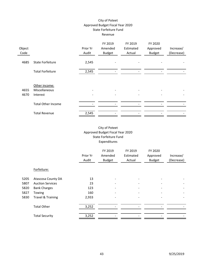# City of Poteet Approved Budget Fiscal Year 2020 State Forfeiture Fund Revenue

|        |                           |          | FY 2019       | FY 2019   | FY 2020       |            |
|--------|---------------------------|----------|---------------|-----------|---------------|------------|
| Object |                           | Prior Yr | Amended       | Estimated | Approved      | Increase/  |
| Code   |                           | Audit    | <b>Budget</b> | Actual    | <b>Budget</b> | (Decrease) |
|        |                           |          |               |           |               |            |
| 4685   | State Forfeiture          | 2,545    |               |           |               |            |
|        |                           |          |               |           |               |            |
|        | <b>Total Forfeiture</b>   | 2,545    |               |           |               |            |
|        |                           |          |               |           |               |            |
|        |                           |          |               |           |               |            |
|        | Other income:             |          |               |           |               |            |
| 4655   | Miscellaneous             |          |               |           |               |            |
| 4670   | Interest                  |          |               |           |               |            |
|        |                           |          |               |           |               |            |
|        | <b>Total Other Income</b> |          |               |           |               |            |
|        |                           |          |               |           |               |            |
|        | <b>Total Revenue</b>      | 2,545    |               |           |               |            |

# City of Poteet Approved Budget Fiscal Year 2020 State Forfeiture Fund Expenditures

|      |                              | Prior Yr<br>Audit | FY 2019<br>Amended<br><b>Budget</b> | FY 2019<br>Estimated<br>Actual | FY 2020<br>Approved<br><b>Budget</b> | Increase/<br>(Decrease) |
|------|------------------------------|-------------------|-------------------------------------|--------------------------------|--------------------------------------|-------------------------|
|      | Forfeiture:                  |                   |                                     |                                |                                      |                         |
| 5205 | Atascosa County DA           | 13                |                                     |                                |                                      |                         |
| 5807 | <b>Auction Services</b>      | 23                |                                     |                                |                                      |                         |
| 5820 | <b>Bank Charges</b>          | 123               |                                     |                                |                                      |                         |
| 5827 | Towing                       | 160               |                                     |                                |                                      |                         |
| 5830 | <b>Travel &amp; Training</b> | 2,933             |                                     |                                |                                      |                         |
|      | <b>Total Other</b>           | 3,252             |                                     |                                |                                      |                         |
|      | <b>Total Security</b>        | 3,252             |                                     |                                |                                      |                         |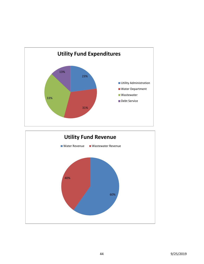

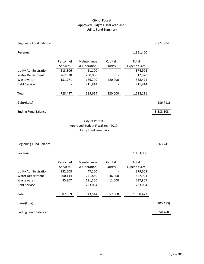#### City of Poteet Approved Budget Fiscal Year 2020 Utility Fund Summary

45 9/25/2019

#### Beginning Fund Balance 3,874,814

|                               | Personnel       | Maintenance | Capital | Total        |
|-------------------------------|-----------------|-------------|---------|--------------|
|                               | <b>Services</b> | & Operation | Outlay  | Expenditures |
| <b>Utility Administration</b> | 313,806         | 61,100      |         | 374,906      |
| <b>Water Department</b>       | 262,920         | 250,000     |         | 512,920      |
| Wastewater                    | 151,771         | 166,700     | 220,000 | 538,471      |
| Debt Service                  | -               | 211,814     |         | 211,814      |
|                               |                 |             |         |              |
| Total                         | 728,497         | 689,614     | 220,000 | 1,638,111    |
|                               |                 |             |         |              |

Revenue 2,351,400 and 2,351,400 and 2,351,400 and 2,351,400 and 2,351,400 and 2,351,400 and 2,351,400 and 2,351,400 and 2,351,400 and 2,351,400 and 2,351,400 and 2,351,400 and 2,351,400 and 2,351,400 and 2,351,400 and 2,35

Gain/(Loss) (286,711)

#### Ending Fund Balance 3,588,103

#### City of Poteet Approved Budget Fiscal Year 2019 Utility Fund Summary

#### Beginning Fund Balance 3,863,741

|                         | Personnel       | Maintenance | Capital | Total        |
|-------------------------|-----------------|-------------|---------|--------------|
|                         | <b>Services</b> | & Operation | Outlay  | Expenditures |
| Utility Administration  | 332,508         | 47,100      |         | 379,608      |
| <b>Water Department</b> | 260,144         | 241,850     | 46,000  | 547,994      |
| Wastewater              | 95,307          | 131,500     | 11,000  | 237,807      |
| Debt Service            |                 | 223,064     |         | 223,064      |
|                         |                 |             |         |              |
| Total                   | 687,959         | 643,514     | 57,000  | 1,388,473    |
|                         |                 |             |         |              |

Gain/(Loss) (205,473)

Ending Fund Balance 3,658,268

Revenue 1,183,000

÷,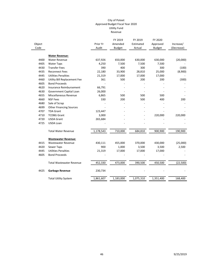|        |                                 |           | FY 2019       | FY 2019   | FY 2020       |            |
|--------|---------------------------------|-----------|---------------|-----------|---------------|------------|
| Object |                                 | Prior Yr  | Amended       | Estimated | Approved      | Increase/  |
| Code   |                                 | Audit     | <b>Budget</b> | Actual    | <b>Budget</b> | (Decrease) |
|        | <b>Water Revenue:</b>           |           |               |           |               |            |
| 4400   | <b>Water Revenue</b>            | 637,926   | 650,000       | 630,000   | 630,000       | (20,000)   |
| 4405   | <b>Water Taps</b>               | 4,250     | 7,500         | 7,500     | 7,500         |            |
| 4430   | <b>Transfer Fees</b>            | 390       | 400           | 300       | 300           | (100)      |
| 4435   | <b>Reconnect Fees</b>           | 22,180    | 33,900        | 28,810    | 25,000        | (8,900)    |
| 4445   | <b>Utilities Penalties</b>      | 21,319    | 17,000        | 17,000    | 17,000        |            |
| 4460   | Utility Bill Replacement Fee    | 361       | 500           | 200       | 200           | (300)      |
| 4605   | <b>Bond Proceeds</b>            |           |               |           |               |            |
| 4620   | Insurance Reimbursement         | 66,791    |               |           |               |            |
| 4630   | Government Capital Loan         | 26,000    |               |           |               |            |
| 4655   | Miscellaneous Revenue           | 6,865     | 500           | 500       | 500           |            |
| 4660   | <b>NSF Fees</b>                 | 330       | 200           | 500       | 400           | 200        |
| 4680   | Sale of Scrap                   |           |               |           |               |            |
| 4699   | <b>Other Financing Sources</b>  |           |               |           |               |            |
| 4707   | <b>TDA Grant</b>                | 123,447   |               |           |               |            |
| 4710   | <b>TCDBG Grant</b>              | 3,000     |               |           | 220,000       | 220,000    |
| 4720   | <b>USDA Grant</b>               | 265,684   |               |           |               |            |
| 4725   | <b>USDA Loan</b>                |           |               |           |               |            |
|        | <b>Total Water Revenue</b>      | 1,178,543 | 710,000       | 684,810   | 900,900       | 190,900    |
|        | <b>Wastewater Revenue:</b>      |           |               |           |               |            |
| 4415   | <b>Wastewater Revenue</b>       | 430,111   | 455,000       | 370,000   | 430,000       | (25,000)   |
| 4420   | Sewer Taps                      | 900       | 1,000         | 3,500     | 3,500         | 2,500      |
| 4445   | <b>Utilities Penalties</b>      | 21,319    | 17,000        | 17,000    | 17,000        |            |
| 4605   | <b>Bond Proceeds</b>            |           |               |           |               |            |
|        |                                 |           |               |           |               |            |
|        | <b>Total Wastewater Revenue</b> | 452,330   | 473,000       | 390,500   | 450,500       | (22, 500)  |
| 4425   | <b>Garbage Revenue</b>          | 230,734   |               |           |               |            |
|        | <b>Total Utility System</b>     | 1,861,607 | 1,183,000     | 1,075,310 | 1,351,400     | 168,400    |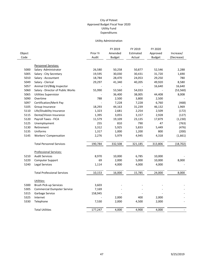#### Utility Administration

|        |                                    |          | FY 2019       | FY 2019   | FY 2020       |            |
|--------|------------------------------------|----------|---------------|-----------|---------------|------------|
| Object |                                    | Prior Yr | Amended       | Estimated | Approved      | Increase/  |
| Code   |                                    | Audit    | <b>Budget</b> | Actual    | <b>Budget</b> | (Decrease) |
|        |                                    |          |               |           |               |            |
|        | Personnel Services:                |          |               |           |               |            |
| 5000   | Salary - Administrator             | 26,580   | 50,258        | 50,877    | 52,546        | 2,288      |
| 5005   | Salary - City Secretary            | 19,595   | 30,030        | 30,431    | 31,720        | 1,690      |
| 5010   | Salary - Accountant                | 18,784   | 28,470        | 24,053    | 29,250        | 780        |
| 5049   | Salary - Clerical                  | 29,297   | 41,340        | 40,205    | 49,920        | 8,580      |
| 5057   | Animal Ctrl/Bldg Inspector         |          |               |           | 16,640        | 16,640     |
| 5060   | Salary - Director of Public Works  | 55,990   | 53,560        | 54,033    |               | (53, 560)  |
| 5065   | <b>Utilities Supervisior</b>       |          | 36,400        | 38,005    | 44,408        | 8,008      |
| 5090   | Overtime                           | 788      | 2,500         | 3,800     | 2,500         |            |
| 5097   | Certification/Merit Pay            |          | 7,228         | 7,228     | 6,760         | (468)      |
| 5105   | Group Insurance                    | 18,293   | 44,163        | 31,239    | 46,132        | 1,969      |
| 5110   | Life/Disability Insurance          | 1,323    | 2,681         | 2,254     | 2,509         | (172)      |
| 5115   | Dental/Vision Insurance            | 1,395    | 3,055         | 3,157     | 2,928         | (127)      |
| 5120   | Payroll Taxes - FICA               | 11,579   | 19,109        | 23,135    | 17,879        | (1, 230)   |
| 5125   | Unemployment                       | 255      | 810           | 790       | 47            | (763)      |
| 5130   | Retirement                         | 3,312    | 5,925         | 5,833     | 5,449         | (476)      |
| 5135   | Uniforms                           | 1,317    | 1,000         | 1,200     | 800           | (200)      |
| 5145   | <b>Workers' Compensation</b>       | 2,276    | 5,979         | 4,945     | 4,318         | (1,661)    |
|        | <b>Total Personnel Services</b>    | 190,784  | 332,508       | 321,185   | 313,806       | (18, 702)  |
|        | <b>Professional Services:</b>      |          |               |           |               |            |
| 5210   | <b>Audit Services</b>              | 8,970    | 10,000        | 6,785     | 10,000        |            |
| 5220   | Computer Support                   | 69       | 2,000         | 5,000     | 10,000        | 8,000      |
| 5240   | <b>Legal Services</b>              | 1,114    | 4,000         | 4,000     | 4,000         |            |
|        | <b>Total Professional Services</b> | 10,153   | 16,000        | 15,785    | 24,000        | 8,000      |
|        |                                    |          |               |           |               |            |
|        | Utilities:                         |          |               |           |               |            |
| 5300   | <b>Brush Pick-up Services</b>      | 3,603    |               |           |               |            |
| 5305   | <b>Commercial Dumpster Service</b> | 7,169    |               |           |               |            |
| 5315   | Garbage Service                    | 158,945  |               |           |               |            |
| 5325   | Internet                           |          | 2,000         | 400       | 2,000         |            |
| 5330   | Telephone                          | 7,530    | 2,000         | 4,500     | 2,000         |            |
|        | <b>Total Utilities</b>             | 177,247  | 4,000         | 4,900     | 4,000         |            |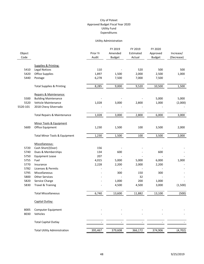#### Utility Administration

|          |                                        |          | FY 2019       | FY 2019   | FY 2020       |            |
|----------|----------------------------------------|----------|---------------|-----------|---------------|------------|
| Object   |                                        | Prior Yr | Amended       | Estimated | Approved      | Increase/  |
| Code     |                                        | Audit    | <b>Budget</b> | Actual    | <b>Budget</b> | (Decrease) |
|          | Supplies & Printing:                   |          |               |           |               |            |
| 5410     | <b>Legal Notices</b>                   | 110      |               | 520       | 500           | 500        |
| 5420     | <b>Office Supplies</b>                 | 1,897    | 1,500         | 2,000     | 2,500         | 1,000      |
| 5440     | Postage                                | 6,278    | 7,500         | 7,000     | 7,500         |            |
|          |                                        |          |               |           |               |            |
|          | <b>Total Supplies &amp; Printing</b>   | 8,285    | 9,000         | 9,520     | 10,500        | 1,500      |
|          | Repairs & Maintenance:                 |          |               |           |               |            |
| 5500     | <b>Building Maintenance</b>            |          |               |           | 5,000         | 5,000      |
| 5520     | Vehicle Maintenance                    | 1,028    | 3,000         | 2,800     | 1,000         | (2,000)    |
| 5520-101 | 2018 Chevy Silverrado                  |          |               |           |               |            |
|          | <b>Total Repairs &amp; Maintenance</b> | 1,028    | 3,000         | 2,800     | 6,000         | 3,000      |
|          | Minor Tools & Equipment                |          |               |           |               |            |
| 5600     | Office Equipment                       | 1,230    | 1,500         | 100       | 3,500         | 2,000      |
|          |                                        |          |               |           |               |            |
|          | Total Minor Tools & Equipment          | 1,230    | 1,500         | 100       | 3,500         | 2,000      |
|          | Miscellaneous:                         |          |               |           |               |            |
| 5720     | Cash Short/(Over)                      | 156      |               |           |               |            |
| 5740     | Dues & Memberships                     | 134      | 600           |           | 600           |            |
| 5750     | <b>Equipment Lease</b>                 | 207      |               |           |               |            |
| 5755     | Fuel                                   | 4,015    | 5,000         | 5,000     | 6,000         | 1,000      |
| 5770     | Insurance                              | 2,228    | 2,200         | 2,000     | 2,200         |            |
| 5782     | Licenses & Permits                     |          |               |           |               |            |
| 5795     | Miscellaneous                          |          | 300           | 150       | 300           |            |
| 5800     | <b>Other Services</b>                  |          |               | 32        |               |            |
| 5820     | Service Charge                         |          | 1,000         | 200       | 1,000         |            |
| 5830     | Travel & Training                      |          | 4,500         | 4,500     | 3,000         | (1,500)    |
|          | <b>Total Miscellaneous</b>             | 6,740    | 13,600        | 11,882    | 13,100        | (500)      |
|          | Capital Outlay:                        |          |               |           |               |            |
| 8005     | <b>Computer Equipment</b>              |          |               |           |               |            |
| 8030     | Vehicles                               |          |               |           |               |            |
|          | <b>Total Capital Outlay</b>            |          |               |           |               |            |
|          | <b>Total Utility Administration</b>    | 395,467  | 379,608       | 366,172   | 374,906       | (4, 702)   |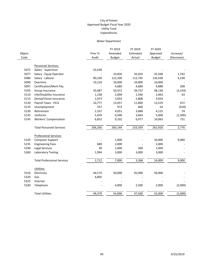#### Water Department

|        |                                            |          | FY 2019       | FY 2019   | FY 2020       |            |
|--------|--------------------------------------------|----------|---------------|-----------|---------------|------------|
| Object |                                            | Prior Yr | Amended       | Estimated | Approved      | Increase/  |
| Code   |                                            | Audit    | <b>Budget</b> | Actual    | <b>Budget</b> | (Decrease) |
|        |                                            |          |               |           |               |            |
| 5075   | Personnel Services:<br>Salary - Supervisor |          |               |           |               |            |
|        |                                            | 32,438   | 33,826        |           |               |            |
| 5077   | Salary - Equip Operator                    |          |               | 35,024    | 35,568        | 1,742      |
| 5080   | Salary - Laborer                           | 90,330   | 122,200       | 112,745   | 126,438       | 4,238      |
| 5090   | Overtime                                   | 19,218   | 10,000        | 10,000    | 10,000        |            |
| 5097   | Certification/Merit Pay                    |          | 4,680         | 4,680     | 4,888         | 208        |
| 5105   | Group Insurance                            | 35,087   | 50,472        | 39,737    | 48,138        | (2, 334)   |
| 5110   | Life/Disability Insurance                  | 1,238    | 2,000         | 1,546     | 2,063         | 63         |
| 5115   | Dental/Vision Insurance                    | 1,973    | 3,054         | 2,808     | 3,054         |            |
| 5120   | Payroll Taxes - FICA                       | 10,777   | 13,057        | 11,890    | 13,529        | 472        |
| 5125   | Unemployment                               | 557      | 972           | 600       | 54            | (918)      |
| 5130   | Retirement                                 | 2,337    | 4,051         | 3,688     | 4,125         | 74         |
| 5135   | Uniforms                                   | 5,459    | 6,500         | 3,664     | 5,000         | (1,500)    |
| 5145   | <b>Workers' Compensation</b>               | 6,852    | 9,332         | 6,977     | 10,063        | 731        |
|        | <b>Total Personnel Services</b>            | 206,266  | 260,144       | 233,359   | 262,920       | 2,776      |
|        | <b>Professional Services:</b>              |          |               |           |               |            |
| 5220   | <b>Computer Support</b>                    |          | 1,000         |           | 10,000        | 9,000      |
| 5235   | <b>Engineering Fees</b>                    | 680      | 2,000         |           | 2,000         |            |
| 5240   | Legal Services                             | 38       | 1,000         | 368       | 1,000         |            |
| 5260   | <b>Laboratory Testing</b>                  | 1,994    | 3,000         | 3,000     | 3,000         |            |
|        | <b>Total Professional Services</b>         | 2,712    | 7,000         | 3,368     | 16,000        | 9,000      |
|        |                                            |          |               |           |               |            |
|        | Utilities:                                 |          |               |           |               |            |
| 5310   | Electricity                                | 44,574   | 50,000        | 45,000    | 50,000        |            |
| 5320   | Gas                                        | 4,805    |               |           |               |            |
| 5325   | Internet                                   |          |               |           |               |            |
| 5330   | Telephone                                  |          | 4,000         | 2,500     | 2,000         | (2,000)    |
|        | <b>Total Utilities</b>                     | 49,379   | 54,000        | 47,500    | 52,000        | (2,000)    |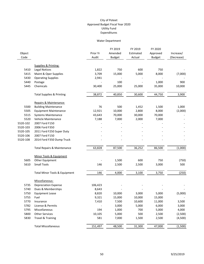#### Water Department

|                |                                          |                   | FY 2019       | FY 2019   | FY 2020       |            |
|----------------|------------------------------------------|-------------------|---------------|-----------|---------------|------------|
| Object<br>Code |                                          | Prior Yr<br>Audit | Amended       | Estimated | Approved      | Increase/  |
|                |                                          |                   | <b>Budget</b> | Actual    | <b>Budget</b> | (Decrease) |
|                | Supplies & Printing:                     |                   |               |           |               |            |
| 5410           | <b>Legal Notices</b>                     | 1,822             | 750           | 600       | 750           |            |
| 5415           | Maint & Oper Supplies                    | 3,709             | 15,000        | 5,000     | 8,000         | (7,000)    |
| 5430           | <b>Operating Supplies</b>                | 2,941             |               |           |               |            |
| 5440           | Postage                                  |                   | 100           |           | 1,000         | 900        |
| 5445           | Chemicals                                | 30,400            | 25,000        | 25,000    | 35,000        | 10,000     |
|                | <b>Total Supplies &amp; Printing</b>     | 38,872            | 40,850        | 30,600    | 44,750        | 3,900      |
|                | Repairs & Maintenance:                   |                   |               |           |               |            |
| 5500           | <b>Building Maintenance</b>              | 76                | 500           | 1,452     | 1,500         | 1,000      |
| 5505           | <b>Equipment Maintenance</b>             | 12,921            | 10,000        | 2,800     | 8,000         | (2,000)    |
| 5515           | Systems Maintenance                      | 43,643            | 70,000        | 30,000    | 70,000        |            |
| 5520           | Vehicle Maintenance                      | 7,188             | 7,000         | 2,000     | 7,000         |            |
| 5520-102       | 2007 Ford F150                           |                   |               |           |               |            |
| 5520-103       | 2006 Ford F350                           |                   |               |           |               |            |
| 5520-105       | 2011 Ford F250 Super Duty                |                   |               |           |               |            |
| 5520-106       | 2007 Ford F150                           |                   |               |           |               |            |
| 5520-108       | 2014 Ford F350 Dump Truck                |                   |               |           |               |            |
|                | <b>Total Repairs &amp; Maintenance</b>   | 63,828            | 87,500        | 36,252    | 86,500        | (1,000)    |
|                | Minor Tools & Equipment                  |                   |               |           |               |            |
| 5605           | Other Equipment                          |                   | 1,500         | 600       | 750           | (750)      |
| 5610           | <b>Small Tools</b>                       | 146               | 2,500         | 2,500     | 3,000         | 500        |
|                | <b>Total Minor Tools &amp; Equipment</b> | 146               | 4,000         | 3,100     | 3,750         | (250)      |
|                | Miscellaneous:                           |                   |               |           |               |            |
| 5735           | <b>Depreciation Expense</b>              | 106,423           |               |           |               |            |
| 5740           | Dues & Memberships                       | 8,643             |               |           |               |            |
| 5750           | <b>Equipment Lease</b>                   | 8,820             | 10,000        | 3,000     | 5,000         | (5,000)    |
| 5755           | Fuel                                     | 9,321             | 15,000        | 10,000    | 15,000        |            |
| 5770           | Insurance                                | 7,410             | 7,500         | 10,600    | 11,000        | 3,500      |
| 5782           | License & Permits                        |                   | 3,000         | 5,000     | 6,000         | 3,000      |
| 5795           | Miscellaneous                            | 194               | 1,000         | 700       | 5,000         | 4,000      |
| 5800           | <b>Other Services</b>                    | 10,105            | 5,000         | 500       | 2,500         | (2,500)    |
| 5830           | Travel & Training                        | 581               | 7,000         | 1,500     | 2,500         | (4,500)    |
|                | <b>Total Miscellaneous</b>               | 151,497           | 48,500        | 31,300    | 47,000        | (1,500)    |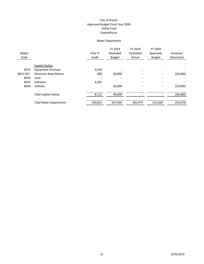#### Water Department

| Object<br>Code |                               | Prior Yr<br>Audit | FY 2019<br>Amended<br><b>Budget</b> | FY 2019<br>Estimated<br>Actual | FY 2020<br>Approved<br><b>Budget</b> | Increase/<br>(Decrease) |
|----------------|-------------------------------|-------------------|-------------------------------------|--------------------------------|--------------------------------------|-------------------------|
|                | Capital Outlay:               |                   |                                     |                                |                                      |                         |
| 8015           | <b>Equipment Purchase</b>     | 3,350             |                                     |                                |                                      |                         |
| 8015-001       | <b>Electronic Read Meters</b> | 480               | 20,000                              |                                | -                                    | (20,000)                |
| 8020           | Land                          |                   |                                     |                                | $\overline{\phantom{0}}$             |                         |
| 8025           | Software                      | 4,282             |                                     |                                | $\overline{\phantom{0}}$             |                         |
| 8030           | Vehicles                      |                   | 26,000                              | $\overline{\phantom{0}}$       | $\overline{\phantom{0}}$             | (26,000)                |
|                | <b>Total Capital Outlay</b>   | 8,112             | 46,000                              |                                |                                      | (46,000)                |
|                | <b>Total Water Department</b> | 520,812           | 547,994                             | 385,479                        | 512,920                              | (35,074)                |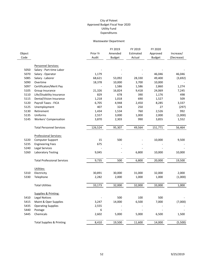#### Wastewater Department

|        |                                      |          | FY 2019       | FY 2019   | FY 2020       |            |
|--------|--------------------------------------|----------|---------------|-----------|---------------|------------|
| Object |                                      | Prior Yr | Amended       | Estimated | Approved      | Increase/  |
| Code   |                                      | Audit    | <b>Budget</b> | Actual    | <b>Budget</b> | (Decrease) |
|        | Personnel Services:                  |          |               |           |               |            |
| 5050   | Salary - Part-time Labor             |          |               |           |               |            |
| 5070   | Salary - Operator                    | 1,179    |               |           | 46,046        | 46,046     |
| 5085   | Salary - Laborer                     | 68,621   | 53,092        | 28,330    | 49,400        | (3,692)    |
| 5090   | Overtime                             | 18,378   | 10,000        | 3,700     | 10,000        |            |
| 5097   | Certificaton/Merit Pay               |          | 1,586         | 1,586     | 2,860         | 1,274      |
| 5105   | Group Insurance                      | 21,326   | 16,824        | 9,418     | 24,069        | 7,245      |
| 5110   | Life/Disability Insurance            | 829      | 678           | 390       | 1,176         | 498        |
| 5115   | Dental/Vision Insurance              | 1,218    | 1,018         | 690       | 1,527         | 509        |
| 5120   | Payroll Taxes - FICA                 | 6,705    | 4,948         | 2,450     | 8,285         | 3,337      |
| 5125   | Unemployment                         | 407      | 324           | 250       | 27            | (297)      |
| 5130   | Retirement                           | 1,434    | 1,534         | 760       | 2,526         | 992        |
| 5135   | Uniforms                             | 2,557    | 3,000         | 1,000     | 2,000         | (1,000)    |
| 5145   | <b>Workers' Compensation</b>         | 3,870    | 2,303         | 990       | 3,855         | 1,552      |
|        | <b>Total Personnel Services</b>      | 126,524  | 95,307        | 49,564    | 151,771       | 56,464     |
|        | <b>Professional Services:</b>        |          |               |           |               |            |
| 5220   | <b>Computer Support</b>              | 15       | 500           |           | 10,000        | 9,500      |
| 5235   | <b>Engineering Fees</b>              | 675      |               |           |               |            |
| 5240   | <b>Legal Services</b>                |          |               |           |               |            |
| 5260   | <b>Laboratory Testing</b>            | 9,045    |               | 6,800     | 10,000        | 10,000     |
|        | <b>Total Professional Services</b>   | 9,735    | 500           | 6,800     | 20,000        | 19,500     |
|        | Utilities:                           |          |               |           |               |            |
| 5310   | Electricity                          | 30,891   | 30,000        | 31,000    | 32,000        | 2,000      |
| 5330   | Telephone                            | 2,282    | 2,000         | 1,000     | 1,000         | (1,000)    |
|        | <b>Total Utilities</b>               | 33,173   | 32,000        | 32,000    | 33,000        | 1,000      |
|        | Supplies & Printing:                 |          |               |           |               |            |
| 5410   | <b>Legal Notices</b>                 |          | 500           | 100       | 500           |            |
| 5415   | Maint & Oper Supplies                | 3,247    | 14,000        | 6,500     | 7,000         | (7,000)    |
| 5435   | <b>Operating Supplies</b>            | 2,555    |               |           |               |            |
| 5440   | Postage                              | 6        |               |           |               |            |
| 5445   | Chemicals                            | 2,602    | 5,000         | 5,000     | 6,500         | 1,500      |
|        | <b>Total Supplies &amp; Printing</b> | 8,410    | 19,500        | 11,600    | 14,000        | (5,500)    |
|        |                                      |          |               |           |               |            |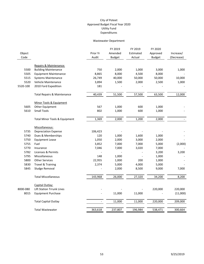#### Wastewater Department

|          |                                        |          | FY 2019       | FY 2019   | FY 2020       |            |
|----------|----------------------------------------|----------|---------------|-----------|---------------|------------|
| Object   |                                        | Prior Yr | Amended       | Estimated | Approved      | Increase/  |
| Code     |                                        | Audit    | <b>Budget</b> | Actual    | <b>Budget</b> | (Decrease) |
|          | Repairs & Maintenance:                 |          |               |           |               |            |
| 5500     | <b>Building Maintenance</b>            | 750      | 2,000         | 1,000     | 3,000         | 1,000      |
| 5505     | <b>Equipment Maintenance</b>           | 8,865    | 8,000         | 4,500     | 8,000         |            |
| 5515     | <b>Systems Maintenance</b>             | 26,749   | 40,000        | 50,000    | 50,000        | 10,000     |
| 5520     | Vehicle Maintenance                    | 3,894    | 1,500         | 2,000     | 2,500         | 1,000      |
| 5520-100 | 2010 Ford Expedition                   | 181      |               |           |               |            |
|          |                                        |          |               |           |               |            |
|          | <b>Total Repairs &amp; Maintenance</b> | 40,439   | 51,500        | 57,500    | 63,500        | 12,000     |
|          | Minor Tools & Equipment                |          |               |           |               |            |
| 5605     | Other Equipment                        | 567      | 1,000         | 600       | 1,000         |            |
| 5610     | <b>Small Tools</b>                     | 802      | 1,000         | 600       | 1,000         |            |
|          |                                        |          |               |           |               |            |
|          | Total Minor Tools & Equipment          | 1,369    | 2,000         | 1,200     | 2,000         |            |
|          | Miscellaneous:                         |          |               |           |               |            |
| 5735     | <b>Depreciation Expense</b>            | 106,423  |               |           |               |            |
| 5740     | Dues & Memberships                     | 120      | 1,000         | 1,600     | 1,000         |            |
| 5750     | <b>Equipment Lease</b>                 | 1,050    | 2,000         | 3,000     | 2,000         |            |
| 5755     | Fuel                                   | 3,852    | 7,000         | 7,000     | 5,000         | (2,000)    |
| 5770     | Insurance                              | 7,046    | 7,000         | 3,020     | 7,000         |            |
| 5782     | Licenses & Permits                     |          |               |           | 3,200         | 3,200      |
| 5795     | Miscellaneous                          | 148      | 1,000         |           | 1,000         |            |
| 5800     | <b>Other Services</b>                  | 22,955   | 1,000         | 200       | 1,000         |            |
| 5830     | Travel & Training                      | 2,374    | 5,000         | 4,000     | 5,000         |            |
| 5845     | Sludge Removal                         |          | 2,000         | 8,500     | 9,000         | 7,000      |
|          | <b>Total Miscellaneous</b>             | 143,968  | 26,000        | 27,320    | 34,200        | 8,200      |
|          |                                        |          |               |           |               |            |
|          | Capital Outlay:                        |          |               |           |               |            |
| 8000-080 | <b>Lift Station Trrunk Lines</b>       |          |               |           | 220,000       | 220,000    |
| 8015     | <b>Equipment Purchase</b>              |          | 11,000        | 11,000    |               | (11,000)   |
|          | <b>Total Capital Outlay</b>            |          | 11,000        | 11,000    | 220,000       | 209,000    |
|          | <b>Total Wastewater</b>                | 363,618  | 237,807       | 196,984   | 538,471       | 300,664    |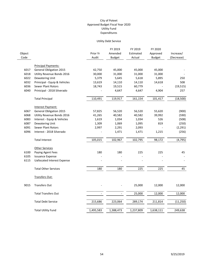#### Utility Debt Service

|        |                                    |           | FY 2019       | FY 2019   | FY 2020       |            |
|--------|------------------------------------|-----------|---------------|-----------|---------------|------------|
| Object |                                    | Prior Yr  | Amended       | Estimated | Approved      | Increase/  |
| Code   |                                    | Audit     | <b>Budget</b> | Actual    | <b>Budget</b> | (Decrease) |
|        |                                    |           |               |           |               |            |
|        | <b>Principal Payments:</b>         |           |               |           |               |            |
| 6017   | <b>General Obligation 2015</b>     | 42,750    | 45,000        | 45,000    | 45,000        |            |
| 6018   | Utility Revenue Bonds 2016         | 30,000    | 31,000        | 31,000    | 31,000        |            |
| 6022   | Dewatering Unit                    | 5,379     | 5,645         | 5,618     | 5,895         | 250        |
| 6032   | Prinicipal - Equip & Vehicles      | 13,619    | 14,110        | 14,110    | 14,618        | 508        |
| 6036   | <b>Sewer Plant Rotors</b>          | 18,743    | 19,515        | 60,779    |               | (19, 515)  |
| 6040   | Prinicipal - 2018 Silverado        |           | 4,647         | 4,647     | 4,904         | 257        |
|        | <b>Total Principal</b>             | 110,491   | 119,917       | 161,154   | 101,417       | (18,500)   |
|        | Interest Payment:                  |           |               |           |               |            |
| 6067   | <b>General Obligation 2015</b>     | 57,825    | 56,520        | 56,520    | 55,620        | (900)      |
| 6068   | Utility Revenue Bonds 2016         | 41,265    | 40,582        | 40,582    | 39,992        | (590)      |
| 6083   | Interest - Equip & Vehicles        | 1,619     | 1,034         | 1,034     | 526           | (508)      |
| 6087   | <b>Dewatering Unit</b>             | 1,309     | 1,069         | 1,095     | 819           | (250)      |
| 6091   | <b>Sewer Plant Rotors</b>          | 2,997     | 2,291         | 2,093     |               | (2, 291)   |
| 6096   | Interest - 2018 Silverado          |           | 1,471         | 1,471     | 1,215         | (256)      |
|        | <b>Total Interest</b>              | 105,015   | 102,967       | 102,795   | 98,172        | (4, 795)   |
|        | <b>Other Services</b>              |           |               |           |               |            |
| 6100   | Paying Agent Fees                  | 180       | 180           | 225       | 225           | 45         |
| 6105   | <b>Issuance Expense</b>            |           |               |           |               |            |
| 6115   | <b>Uallocated Interest Expense</b> |           |               |           |               |            |
|        | <b>Total Other Services</b>        | 180       | 180           | 225       | 225           | 45         |
|        | Transfers Out:                     |           |               |           |               |            |
| 9015   | <b>Transfers Out</b>               |           |               | 25,000    | 12,000        | 12,000     |
|        | <b>Total Transfers Out</b>         |           |               | 25,000    | 12,000        | 12,000     |
|        | <b>Total Debt Service</b>          | 215,686   | 223,064       | 289,174   | 211,814       | (11, 250)  |
|        | <b>Total Utility Fund</b>          | 1,495,583 | 1,388,473     | 1,237,809 | 1,638,111     | 249,638    |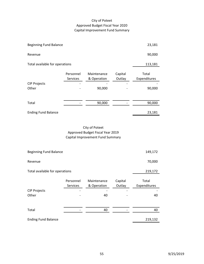# City of Poteet Approved Budget Fiscal Year 2020 Capital Improvement Fund Summary

| <b>Beginning Fund Balance</b>  |                       |                                      |                   | 23,181                          |
|--------------------------------|-----------------------|--------------------------------------|-------------------|---------------------------------|
| Revenue                        |                       |                                      |                   | 90,000                          |
| Total available for operations | 113,181               |                                      |                   |                                 |
| <b>CIP Projects</b><br>Other   | Personnel<br>Services | Maintenance<br>& Operation<br>90,000 | Capital<br>Outlay | Total<br>Expenditures<br>90,000 |
| Total                          |                       | 90,000                               |                   | 90,000                          |
| <b>Ending Fund Balance</b>     |                       |                                      |                   | 23,181                          |

# City of Poteet Approved Budget Fiscal Year 2019 Capital Improvement Fund Summary

| <b>Beginning Fund Balance</b>  |                       |                            |                   | 149,172               |
|--------------------------------|-----------------------|----------------------------|-------------------|-----------------------|
| Revenue                        |                       |                            |                   | 70,000                |
| Total available for operations | 219,172               |                            |                   |                       |
|                                | Personnel<br>Services | Maintenance<br>& Operation | Capital<br>Outlay | Total<br>Expenditures |
| <b>CIP Projects</b><br>Other   |                       | 40                         |                   | 40                    |
|                                |                       |                            |                   |                       |
| Total                          |                       | 40                         |                   | 40                    |
| <b>Ending Fund Balance</b>     |                       |                            |                   | 219,132               |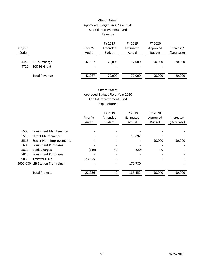#### City of Poteet Approved Budget Fiscal Year 2020 Capital Improvement Fund Revenue

| Object<br>Code |                                     | Prior Yr<br>Audit                  | FY 2019<br>Amended<br><b>Budget</b> | FY 2019<br>Estimated<br>Actual     | FY 2020<br>Approved<br><b>Budget</b> | Increase/<br>(Decrease) |
|----------------|-------------------------------------|------------------------------------|-------------------------------------|------------------------------------|--------------------------------------|-------------------------|
| 4440<br>4710   | CIP Surcharge<br><b>TCDBG Grant</b> | 42,967<br>$\overline{\phantom{m}}$ | 70.000                              | 77,000<br>$\overline{\phantom{a}}$ | 90,000<br>$\overline{\phantom{0}}$   | 20,000                  |
|                | <b>Total Revenue</b>                | 42,967                             | 70,000                              | 77,000                             | 90,000                               | 20,000                  |

# City of Poteet Approved Budget Fiscal Year 2020 Capital Improvement Fund Expenditures

|          |                                | Prior Yr<br>Audit | FY 2019<br>Amended<br><b>Budget</b> | FY 2019<br>Estimated<br>Actual | FY 2020<br>Approved<br><b>Budget</b> | Increase/<br>(Decrease) |
|----------|--------------------------------|-------------------|-------------------------------------|--------------------------------|--------------------------------------|-------------------------|
| 5505     | <b>Equipment Maintenance</b>   |                   |                                     |                                |                                      |                         |
| 5510     | <b>Street Maintenance</b>      |                   |                                     | 15,892                         |                                      |                         |
| 5515     | Sewer Plant Improvements       |                   |                                     |                                | 90,000                               | 90,000                  |
| 5605     | <b>Equipment Purchases</b>     |                   |                                     |                                |                                      |                         |
| 5820     | <b>Bank Charges</b>            | (119)             | 40                                  | (220)                          | 40                                   |                         |
| 8015     | <b>Equipment Purchases</b>     |                   |                                     |                                |                                      |                         |
| 9065     | <b>Transfers Out</b>           | 23,075            |                                     |                                |                                      |                         |
| 8000-080 | <b>Lift Station Trunk Line</b> |                   |                                     | 170,780                        |                                      |                         |
|          | <b>Total Projects</b>          | 22,956            | 40                                  | 186,452                        | 90,040                               | 90,000                  |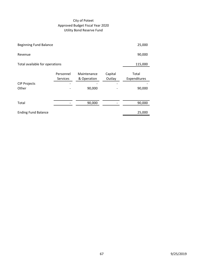# City of Poteet Approved Budget Fiscal Year 2020 Utility Bond Reserve Fund

| <b>Beginning Fund Balance</b>  | 25,000                       |                                      |                   |                                 |
|--------------------------------|------------------------------|--------------------------------------|-------------------|---------------------------------|
| Revenue                        |                              |                                      |                   | 90,000                          |
| Total available for operations | 115,000                      |                                      |                   |                                 |
| <b>CIP Projects</b><br>Other   | Personnel<br><b>Services</b> | Maintenance<br>& Operation<br>90,000 | Capital<br>Outlay | Total<br>Expenditures<br>90,000 |
| Total                          |                              | 90,000                               |                   | 90,000                          |
| <b>Ending Fund Balance</b>     |                              |                                      |                   | 25,000                          |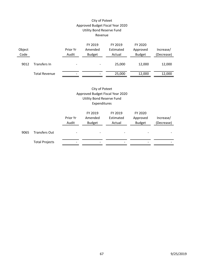# City of Poteet Approved Budget Fiscal Year 2020 Utility Bond Reserve Fund Revenue

| Object<br>Code |                      | Prior Yr<br>Audit        | FY 2019<br>Amended<br><b>Budget</b> | FY 2019<br>Estimated<br>Actual | FY 2020<br>Approved<br><b>Budget</b> | Increase/<br>(Decrease) |
|----------------|----------------------|--------------------------|-------------------------------------|--------------------------------|--------------------------------------|-------------------------|
| 9012           | Transfers In         | $\overline{\phantom{0}}$ | $\overline{\phantom{a}}$            | 25,000                         | 12,000                               | 12,000                  |
|                | <b>Total Revenue</b> | $\overline{\phantom{0}}$ |                                     | 25,000                         | 12,000                               | 12,000                  |

City of Poteet Approved Budget Fiscal Year 2020 Utility Bond Reserve Fund Expenditures

|      |                       | Prior Yr<br>Audit        | FY 2019<br>Amended<br><b>Budget</b> | FY 2019<br>Estimated<br>Actual | FY 2020<br>Approved<br><b>Budget</b> | Increase/<br>(Decrease) |
|------|-----------------------|--------------------------|-------------------------------------|--------------------------------|--------------------------------------|-------------------------|
| 9065 | <b>Transfers Out</b>  |                          |                                     |                                |                                      |                         |
|      | <b>Total Projects</b> | $\overline{\phantom{0}}$ |                                     |                                |                                      |                         |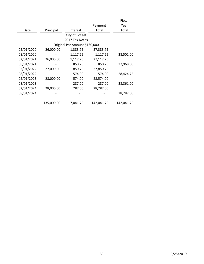|            |            |                               |            | Fiscal     |
|------------|------------|-------------------------------|------------|------------|
|            |            |                               | Payment    | Year       |
| Date       | Principal  | Interest                      | Total      | Total      |
|            |            | City of Poteet                |            |            |
|            |            | 2017 Tax Notes                |            |            |
|            |            | Original Par Amount \$160,000 |            |            |
| 02/01/2020 | 26,000.00  | 1,383.75                      | 27,383.75  |            |
| 08/01/2020 |            | 1,117.25                      | 1,117.25   | 28,501.00  |
| 02/01/2021 | 26,000.00  | 1,117.25                      | 27,117.25  |            |
| 08/01/2021 |            | 850.75                        | 850.75     | 27,968.00  |
| 02/01/2022 | 27,000.00  | 850.75                        | 27,850.75  |            |
| 08/01/2022 |            | 574.00                        | 574.00     | 28,424.75  |
| 02/01/2023 | 28,000.00  | 574.00                        | 28,574.00  |            |
| 08/01/2023 |            | 287.00                        | 287.00     | 28,861.00  |
| 02/01/2024 | 28,000.00  | 287.00                        | 28,287.00  |            |
| 08/01/2024 |            |                               |            | 28,287.00  |
|            |            |                               |            |            |
|            | 135,000.00 | 7,041.75                      | 142,041.75 | 142,041.75 |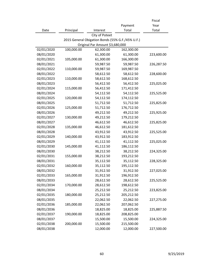|            |            |                                                  |            | Fiscal     |
|------------|------------|--------------------------------------------------|------------|------------|
|            |            |                                                  | Payment    | Year       |
| Date       | Principal  | Interest                                         | Total      | Total      |
|            |            | City of Poteet                                   |            |            |
|            |            | 2015 General Obigation Bonds (55% G.F./45% U.F.) |            |            |
|            |            | Original Par Amount \$3,680,000                  |            |            |
| 02/01/2020 | 100,000.00 | 62,300.00                                        | 162,300.00 |            |
| 08/01/2020 |            | 61,300.00                                        | 61,300.00  | 223,600.00 |
| 02/01/2021 | 105,000.00 | 61,300.00                                        | 166,300.00 |            |
| 08/01/2021 |            | 59,987.50                                        | 59,987.50  | 226,287.50 |
| 02/01/2022 | 110,000.00 | 59,987.50                                        | 169,987.50 |            |
| 08/01/2022 |            | 58,612.50                                        | 58,612.50  | 228,600.00 |
| 02/01/2023 | 110,000.00 | 58,612.50                                        | 168,612.50 |            |
| 08/01/2023 |            | 56,412.50                                        | 56,412.50  | 225,025.00 |
| 02/01/2024 | 115,000.00 | 56,412.50                                        | 171,412.50 |            |
| 08/01/2024 |            | 54,112.50                                        | 54,112.50  | 225,525.00 |
| 02/01/2025 | 120,000.00 | 54,112.50                                        | 174,112.50 |            |
| 08/01/2025 |            | 51,712.50                                        | 51,712.50  | 225,825.00 |
| 02/01/2026 | 125,000.00 | 51,712.50                                        | 176,712.50 |            |
| 08/01/2026 |            | 49,212.50                                        | 49,212.50  | 225,925.00 |
| 02/01/2027 | 130,000.00 | 49,212.50                                        | 179,212.50 |            |
| 08/01/2027 |            | 46,612.50                                        | 46,612.50  | 225,825.00 |
| 02/01/2028 | 135,000.00 | 46,612.50                                        | 181,612.50 |            |
| 08/01/2028 |            | 43,912.50                                        | 43,912.50  | 225,525.00 |
| 02/01/2029 | 140,000.00 | 43,912.50                                        | 183,912.50 |            |
| 08/01/2029 |            | 41,112.50                                        | 41,112.50  | 225,025.00 |
| 02/01/2030 | 145,000.00 | 41,112.50                                        | 186,112.50 |            |
| 08/01/2030 |            | 38,212.50                                        | 38,212.50  | 224,325.00 |
| 02/01/2031 | 155,000.00 | 38,212.50                                        | 193,212.50 |            |
| 08/01/2031 |            | 35,112.50                                        | 35,112.50  | 228,325.00 |
| 02/01/2032 | 160,000.00 | 35,112.50                                        | 195,112.50 |            |
| 08/01/2032 |            | 31,912.50                                        | 31,912.50  | 227,025.00 |
| 02/01/2033 | 165,000.00 | 31,912.50                                        | 196,912.50 |            |
| 08/01/2033 |            | 28,612.50                                        | 28,612.50  | 225,525.00 |
| 02/01/2034 | 170,000.00 | 28,612.50                                        | 198,612.50 |            |
| 08/01/2034 |            | 25,212.50                                        | 25,212.50  | 223,825.00 |
| 02/01/2035 | 180,000.00 | 25,212.50                                        | 205,212.50 |            |
| 08/01/2035 |            | 22,062.50                                        | 22,062.50  | 227,275.00 |
| 02/01/2036 | 185,000.00 | 22,062.50                                        | 207,062.50 |            |
| 08/01/2036 |            | 18,825.00                                        | 18,825.00  | 225,887.50 |
| 02/01/2037 | 190,000.00 | 18,825.00                                        | 208,825.00 |            |
| 08/01/2037 |            | 15,500.00                                        | 15,500.00  | 224,325.00 |
| 02/01/2038 | 200,000.00 | 15,500.00                                        | 215,500.00 |            |
| 08/01/2038 |            | 12,000.00                                        | 12,000.00  | 227,500.00 |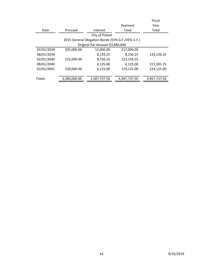|            |              |                                                  |              | Fiscal       |
|------------|--------------|--------------------------------------------------|--------------|--------------|
|            |              |                                                  | Payment      | Year         |
| Date       | Principal    | Interest                                         | Total        | Total        |
|            |              | City of Poteet                                   |              |              |
|            |              | 2015 General Obigation Bonds (55% G.F./45% U.F.) |              |              |
|            |              | Original Par Amount \$3,680,000                  |              |              |
| 02/01/2039 | 205,000.00   | 12,000.00                                        | 217,000.00   |              |
| 08/01/2039 |              | 8,156.25                                         | 8,156.25     | 225,156.25   |
| 02/01/2040 | 215,000.00   | 8,156.25                                         | 223,156.25   |              |
| 08/01/2040 |              | 4,125.00                                         | 4,125.00     | 227,281.25   |
| 02/01/2041 | 220,000.00   | 4,125.00                                         | 224,125.00   | 224,125.00   |
|            |              |                                                  |              |              |
| Totals     | 3,380,000.00 | 1,587,737.50                                     | 4,967,737.50 | 4,967,737.50 |
|            |              |                                                  |              |              |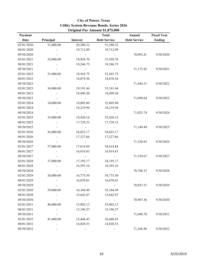| Payment     |           |                 | <b>Total</b>        | Annual              | <b>Fiscal Year</b> |
|-------------|-----------|-----------------|---------------------|---------------------|--------------------|
| <b>Date</b> | Principal | <b>Interest</b> | <b>Debt Service</b> | <b>Debt Service</b> | <b>Ending</b>      |
| 02/01/2020  | 31,000.00 | 20,280.32       | 51,280.32           |                     |                    |
| 08/01/2020  |           | 19,712.09       | 19,712.09           |                     |                    |
| 09/30/2020  |           |                 |                     | 70,992.41           | 9/30/2020          |
| 02/01/2021  | 32,000.00 | 19,928.70       | 51,928.70           |                     |                    |
| 08/01/2021  |           | 19,246.75       | 19,246.75           |                     |                    |
| 09/30/2021  |           |                 |                     | 71,175.45           | 9/30/2021          |
| 02/01/2022  | 33,000.00 | 19,565.75       | 52,565.75           |                     |                    |
| 08/01/2022  |           | 18,878.56       | 18,878.56           |                     |                    |
| 09/30/2022  |           |                 |                     | 71,444.31           | 9/30/2022          |
| 02/01/2023  | 34,000.00 | 19,191.44       | 53,191.44           |                     |                    |
| 08/01/2023  |           | 18,499.20       | 18,499.20           |                     |                    |
| 09/30/2023  |           |                 |                     | 71,690.64           | 9/30/2023          |
| 02/01/2024  | 34,000.00 | 18,805.80       | 52,805.80           |                     |                    |
| 08/01/2024  |           | 18,219.94       | 18,219.94           |                     |                    |
| 09/30/2024  |           |                 |                     | 71,025.74           | 9/30/2024          |
| 02/01/2025  | 35,000.00 | 18,420.16       | 53,420.16           |                     |                    |
| 08/01/2025  |           | 17,729.33       | 17,729.33           |                     |                    |
| 09/30/2025  |           |                 |                     | 71,149.49           | 9/30/2025          |
| 02/01/2026  | 36,000.00 | 18,023.17       | 54,023.17           |                     |                    |
| 08/01/2026  |           | 17,327.66       | 17,327.66           |                     |                    |
| 09/30/2026  |           |                 |                     | 71,350.83           | 9/30/2026          |
| 02/01/2027  | 37,000.00 | 17,614.84       | 54,614.84           |                     |                    |
| 08/01/2027  |           | 16,914.83       | 16,914.83           |                     |                    |
| 09/30/2027  |           |                 |                     | 71,529.67           | 9/30/2027          |
| 02/01/2028  | 37,000.00 | 17,195.17       | 54,195.17           |                     |                    |
| 08/01/2028  |           | 16,593.16       | 16,593.16           |                     |                    |
| 09/30/2028  |           |                 |                     | 70,788.33           | 9/30/2028          |
| 02/01/2029  | 38,000.00 | 16,775.50       | 54,775.50           |                     |                    |
| 08/01/2029  |           | 16,078.01       | 16,078.01           |                     |                    |
| 09/30/2029  |           |                 |                     | 70,853.51           | 9/30/2029          |
| 02/01/2030  | 39,000.00 | 16,344.49       | 55,344.49           |                     |                    |
| 08/01/2030  |           | 15,642.87       | 15,642.87           |                     |                    |
| 09/30/2030  |           |                 |                     | 70,987.36           | 9/30/2030          |
| 02/01/2031  | 40,000.00 | 15,902.13       | 55,902.13           |                     |                    |
| 08/01/2031  |           | 15,196.57       | 15,196.57           |                     |                    |
| 09/30/2031  |           |                 |                     | 71,098.70           | 9/30/2031          |
| 02/01/2032  | 41,000.00 | 15,448.43       | 56,448.43           |                     |                    |
| 08/01/2032  |           | 14,820.53       | 14,820.53           |                     |                    |
| 09/30/2032  |           |                 |                     | 71,268.96           | 9/30/2032          |

# **Utility System Revenue Bonds, Series 2016 City of Poteet, Texas Original Par Amount \$1,875,000**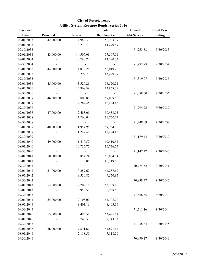| Payment     |           |                 | <b>Total</b>        | Annual              | <b>Fiscal Year</b> |
|-------------|-----------|-----------------|---------------------|---------------------|--------------------|
| <b>Date</b> | Principal | <b>Interest</b> | <b>Debt Service</b> | <b>Debt Service</b> | <b>Ending</b>      |
| 02/01/2033  | 42,000.00 | 14,983.39       | 56,983.39           |                     |                    |
| 08/01/2033  |           | 14,270.49       | 14,270.49           |                     |                    |
| 09/30/2033  |           |                 |                     | 71,253.88           | 9/30/2033          |
| 02/01/2034  | 43,000.00 | 14,507.01       | 57,507.01           |                     |                    |
| 08/01/2034  |           | 13,790.72       | 13,790.72           |                     |                    |
| 09/30/2034  |           |                 |                     | 71,297.73           | 9/30/2034          |
| 02/01/2035  | 44,000.00 | 14,019.28       | 58,019.28           |                     |                    |
| 08/01/2035  |           | 13,299.79       | 13,299.79           |                     |                    |
| 09/30/2035  |           |                 |                     | 71,319.07           | 9/30/2035          |
| 02/01/2036  | 45,000.00 | 13,520.21       | 58,520.21           |                     |                    |
| 08/01/2036  |           | 12,868.39       | 12,868.39           |                     |                    |
| 09/30/2036  |           |                 |                     | 71,388.60           | 9/30/2036          |
| 02/01/2037  | 46,000.00 | 13,009.80       | 59,009.80           |                     |                    |
| 08/01/2037  |           | 12,284.45       | 12,284.45           |                     |                    |
| 09/30/2037  |           |                 |                     | 71,294.25           | 9/30/2037          |
| 02/01/2038  | 47,000.00 | 12,488.05       | 59,488.05           |                     |                    |
| 08/01/2038  |           | 11,760.04       | 11,760.04           |                     |                    |
| 09/30/2038  |           |                 |                     | 71,248.09           | 9/30/2038          |
| 02/01/2039  | 48,000.00 | 11,954.96       | 59,954.96           |                     |                    |
| 08/01/2039  |           | 11,224.48       | 11,224.48           |                     |                    |
| 09/30/2039  |           |                 |                     | 71,179.44           | 9/30/2039          |
| 02/01/2040  | 49,000.00 | 11,410.52       | 60,410.52           |                     |                    |
| 08/01/2040  |           | 10,736.75       | 10,736.75           |                     |                    |
| 09/30/2040  |           |                 |                     | 71,147.27           | 9/30/2040          |
| 02/01/2041  | 50,000.00 | 10,854.74       | 60,854.74           |                     |                    |
| 08/01/2041  |           | 10,119.88       | 10,119.88           |                     |                    |
| 09/30/2041  |           |                 |                     | 70,974.62           | 9/30/2041          |
| 02/01/2042  | 51,000.00 | 10,287.62       | 61,287.62           |                     |                    |
| 08/01/2042  |           | 9,550.85        | 9,550.85            |                     |                    |
| 09/30/2042  |           |                 |                     | 70,838.47           | 9/30/2042          |
| 02/01/2043  | 53,000.00 | 9,709.15        | 62,709.15           |                     |                    |
| 08/01/2043  |           | 8,959.50        | 8,959.50            |                     |                    |
| 09/30/2043  |           |                 |                     | 71,668.65           | 9/30/2043          |
| 02/01/2044  | 54,000.00 | 9,108.00        | 63,108.00           |                     |                    |
| 08/01/2044  |           | 8,403.16        | 8,403.16            |                     |                    |
| 09/30/2044  |           |                 |                     | 71,511.16           | 9/30/2044          |
| 02/01/2045  | 55,000.00 | 8,495.51        | 63,495.51           |                     |                    |
| 08/01/2045  |           | 7,743.33        | 7,743.33            |                     |                    |
| 09/30/2045  |           |                 |                     | 71,238.84           | 9/30/2045          |
| 02/01/2046  | 56,000.00 | 7,871.67        | 63,871.67           |                     |                    |
| 08/01/2046  |           | 7,118.50        | 7,118.50            |                     |                    |
| 09/30/2046  |           |                 |                     | 70,990.17           | 9/30/2046          |

|                                                  |  | <b>City of Poteet, Texas</b> |  |
|--------------------------------------------------|--|------------------------------|--|
| <b>Utility System Revenue Bonds, Series 2016</b> |  |                              |  |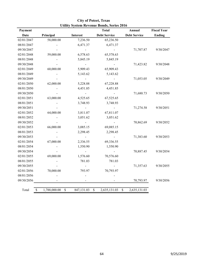| Payment     |                    |                 | <b>Total</b>        | Annual              | <b>Fiscal Year</b> |
|-------------|--------------------|-----------------|---------------------|---------------------|--------------------|
| <b>Date</b> | Principal          | <b>Interest</b> | <b>Debt Service</b> | <b>Debt Service</b> | <b>Ending</b>      |
| 02/01/2047  | 58,000.00          | 7,236.50        | 65,236.50           |                     |                    |
| 08/01/2047  |                    | 6,471.37        | 6,471.37            |                     |                    |
| 09/30/2047  |                    | $\blacksquare$  | $\blacksquare$      | 71,707.87           | 9/30/2047          |
| 02/01/2048  | 59,000.00          | 6,578.63        | 65,578.63           |                     |                    |
| 08/01/2048  |                    | 5,845.19        | 5,845.19            |                     |                    |
| 09/30/2048  |                    |                 |                     | 71,423.82           | 9/30/2048          |
| 02/01/2049  | 60,000.00          | 5,909.43        | 65,909.43           |                     |                    |
| 08/01/2049  |                    | 5,143.62        | 5,143.62            |                     |                    |
| 09/30/2049  |                    |                 |                     | 71,053.05           | 9/30/2049          |
| 02/01/2050  | 62,000.00          | 5,228.88        | 67,228.88           |                     |                    |
| 08/01/2050  |                    | 4,451.85        | 4,451.85            |                     |                    |
| 09/30/2050  |                    |                 |                     | 71,680.73           | 9/30/2050          |
| 02/01/2051  | 63,000.00          | 4,525.65        | 67,525.65           |                     |                    |
| 08/01/2051  |                    | 3,748.93        | 3,748.93            |                     |                    |
| 09/30/2051  |                    | $\overline{a}$  | $\omega$            | 71,274.58           | 9/30/2051          |
| 02/01/2052  | 64,000.00          | 3,811.07        | 67,811.07           |                     |                    |
| 08/01/2052  |                    | 3,051.62        | 3,051.62            |                     |                    |
| 09/30/2052  |                    |                 |                     | 70,862.69           | 9/30/2052          |
| 02/01/2053  | 66,000.00          | 3,085.15        | 69,085.15           |                     |                    |
| 08/01/2053  |                    | 2,298.45        | 2,298.45            |                     |                    |
| 09/30/2053  |                    |                 |                     | 71,383.60           | 9/30/2053          |
| 02/01/2054  | 67,000.00          | 2,336.55        | 69,336.55           |                     |                    |
| 08/01/2054  |                    | 1,550.90        | 1,550.90            |                     |                    |
| 09/30/2054  |                    | $\blacksquare$  |                     | 70,887.45           | 9/30/2054          |
| 02/01/2055  | 69,000.00          | 1,576.60        | 70,576.60           |                     |                    |
| 08/01/2055  |                    | 781.03          | 781.03              |                     |                    |
| 09/30/2055  |                    |                 |                     | 71,357.63           | 9/30/2055          |
| 02/01/2056  | 70,000.00          | 793.97          | 70,793.97           |                     |                    |
| 08/01/2056  |                    |                 |                     |                     |                    |
| 09/30/2056  |                    |                 |                     | 70,793.97           | 9/30/2056          |
|             |                    |                 |                     |                     |                    |
| Total<br>\$ | 1,788,000.00<br>\$ | 847,131.03      | \$<br>2,635,131.03  | \$<br>2,635,131.03  |                    |

**Utility System Revenue Bonds, Series 2016 City of Poteet, Texas**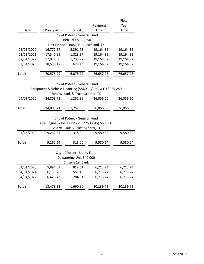|                                   |                                                |                                          |                                                            | Fiscal    |  |
|-----------------------------------|------------------------------------------------|------------------------------------------|------------------------------------------------------------|-----------|--|
|                                   |                                                |                                          | Payment                                                    | Year      |  |
| Date                              | Principal                                      | Interest                                 | Total                                                      | Total     |  |
|                                   |                                                | City of Poteet - General Fund            |                                                            |           |  |
|                                   |                                                | Firetrucks \$160,250                     |                                                            |           |  |
|                                   |                                                | First Financial Bank, N.A., Eastland, TX |                                                            |           |  |
| 02/01/2020                        | 16,772.57                                      | 2,391.75                                 | 19,164.32                                                  | 19,164.32 |  |
| 02/01/2021                        | 17,340.95                                      | 1,823.37                                 | 19,164.32                                                  | 19,164.32 |  |
| 02/01/2022                        | 17,928.60                                      | 1,235.72                                 | 19,164.32                                                  | 19,164.32 |  |
| 02/01/2023                        | 18,536.17                                      | 628.15                                   | 19,164.32                                                  | 19,164.32 |  |
|                                   |                                                |                                          |                                                            |           |  |
| Totals                            | 70,578.29                                      | 6,078.99                                 | 76,657.28                                                  | 76,657.28 |  |
|                                   |                                                |                                          |                                                            |           |  |
|                                   |                                                | City of Poteet - General Fund            |                                                            |           |  |
|                                   |                                                |                                          | Equipment & Vehicle Financing (58% G.F/42% U.F.) \$225,259 |           |  |
|                                   |                                                | Schertz Bank & Trust, Schertz, TX        |                                                            |           |  |
| 04/01/2020                        | 34,803.71                                      | 1,252.89                                 | 36,056.60                                                  | 36,056.60 |  |
|                                   |                                                |                                          |                                                            |           |  |
| Totals                            | 34,803.71                                      | 1,252.89                                 | 36,056.60                                                  | 36,056.60 |  |
|                                   |                                                |                                          |                                                            |           |  |
|                                   |                                                | City of Poteet - General Fund            |                                                            |           |  |
|                                   | Fire Engine & Hose (75% VFD/25% City) \$60,000 |                                          |                                                            |           |  |
| Schertz Bank & Trust, Schertz, TX |                                                |                                          |                                                            |           |  |
| 04/15/2020                        | 9,262.64                                       | 318.00                                   | 9,580.64                                                   | 9,580.64  |  |
|                                   |                                                |                                          |                                                            |           |  |
| Totals                            | 9,262.64                                       | 318.00                                   | 9,580.64                                                   | 9,580.64  |  |
|                                   |                                                |                                          |                                                            |           |  |
|                                   |                                                | City of Poteet - Utility Fund            |                                                            |           |  |
|                                   |                                                | Dewatering Unit \$40,000                 |                                                            |           |  |
| Citizens 1st Bank                 |                                                |                                          |                                                            |           |  |
| 04/01/2020                        | 5,894.63                                       | 818.61                                   | 6,713.24                                                   | 6,713.24  |  |
| 04/01/2021                        | 6,155.76                                       | 557.48                                   | 6,713.24                                                   | 6,713.24  |  |
| 04/01/2022                        | 6,428.43                                       | 284.81                                   | 6,713.24                                                   | 6,713.24  |  |
|                                   |                                                |                                          |                                                            |           |  |
| <b>Totals</b>                     | 18,478.82                                      | 1,660.90                                 | 20,139.72                                                  | 20,139.72 |  |
|                                   |                                                |                                          |                                                            |           |  |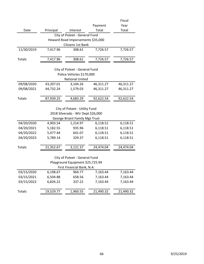|                               |           |                                    |           | Fiscal    |  |
|-------------------------------|-----------|------------------------------------|-----------|-----------|--|
|                               |           |                                    | Payment   | Year      |  |
| Date                          | Principal | Interest                           | Total     | Total     |  |
|                               |           | City of Poteet - General Fund      |           |           |  |
|                               |           | Howard Road Imporvements \$35,000  |           |           |  |
|                               |           | Citizens 1st Bank                  |           |           |  |
| 11/30/2019                    | 7,417.96  | 308.61                             | 7,726.57  | 7,726.57  |  |
| <b>Totals</b>                 | 7,417.96  | 308.61                             | 7,726.57  | 7,726.57  |  |
|                               |           |                                    |           |           |  |
|                               |           | City of Poteet - General Fund      |           |           |  |
|                               |           | Police Vehicles \$170,000          |           |           |  |
|                               |           | <b>National United</b>             |           |           |  |
| 09/08/2020                    | 43,207.01 | 3,104.26                           | 46,311.27 | 46,311.27 |  |
| 09/08/2021                    | 44,732.24 | 1,579.03                           | 46,311.27 | 46,311.27 |  |
|                               |           |                                    |           |           |  |
| <b>Totals</b>                 | 87,939.25 | 4,683.29                           | 92,622.54 | 92,622.54 |  |
|                               |           |                                    |           |           |  |
| City of Poteet - Utility Fund |           |                                    |           |           |  |
|                               |           | 2018 Silverado - Wtr Dept \$26,000 |           |           |  |
|                               |           | George Briant Family Mgt Trust     |           |           |  |
| 04/20/2020                    | 4,903.54  | 1,214.97                           | 6,118.51  | 6,118.51  |  |
| 04/20/2021                    | 5,182.55  | 935.96                             | 6,118.51  | 6,118.51  |  |
| 04/20/2022                    | 5,477.44  | 641.07                             | 6,118.51  | 6,118.51  |  |
| 04/20/2023                    | 5,789.14  | 329.37                             | 6,118.51  | 6,118.51  |  |
|                               |           |                                    |           |           |  |
| Totals                        | 21,352.67 | 3,121.37                           | 24,474.04 | 24,474.04 |  |
|                               |           |                                    |           |           |  |
|                               |           | City of Poteet - General Fund      |           |           |  |
|                               |           | Playground Equipment \$25,725.94   |           |           |  |
|                               |           | First Financial Bank, N.A.         |           |           |  |
| 03/15/2020                    | 6,198.67  | 964.77                             | 7,163.44  | 7,163.44  |  |
| 03/15/2021                    | 6,504.88  | 658.56                             | 7,163.44  | 7,163.44  |  |
| 03/15/2022                    | 6,826.22  | 337.22                             | 7,163.44  | 7,163.44  |  |
| <b>Totals</b>                 | 19,529.77 | 1,960.55                           | 21,490.32 | 21,490.32 |  |